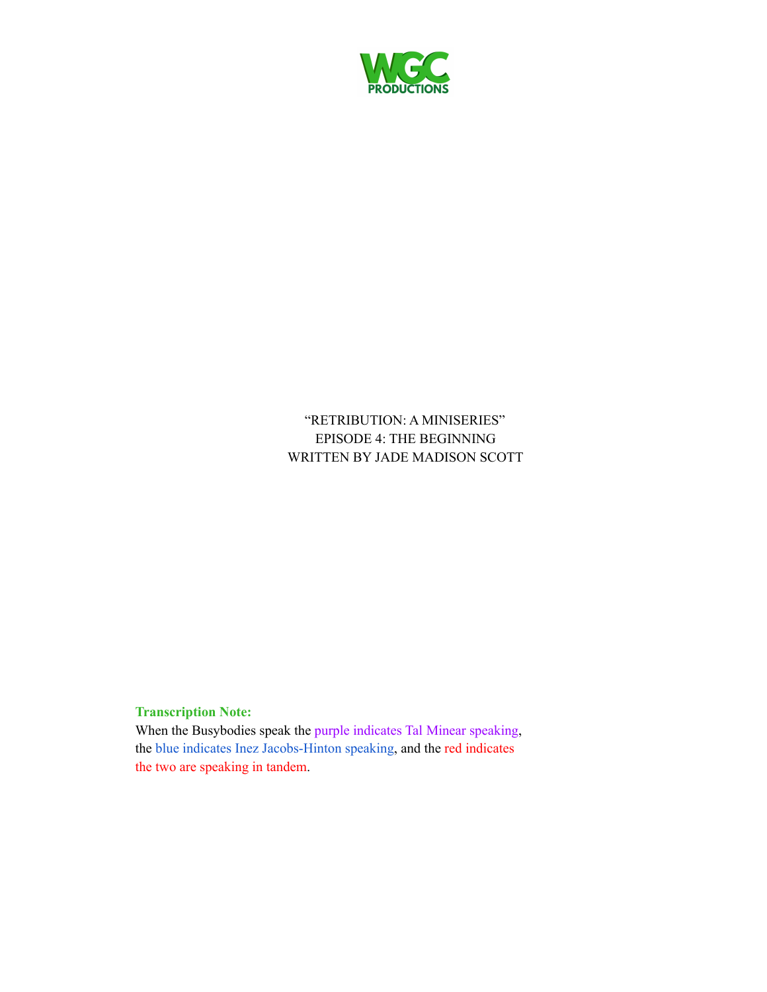

"RETRIBUTION: A MINISERIES" EPISODE 4: THE BEGINNING WRITTEN BY JADE MADISON SCOTT

#### **Transcription Note:**

When the Busybodies speak the purple indicates Tal Minear speaking, the blue indicates Inez Jacobs-Hinton speaking, and the red indicates the two are speaking in tandem.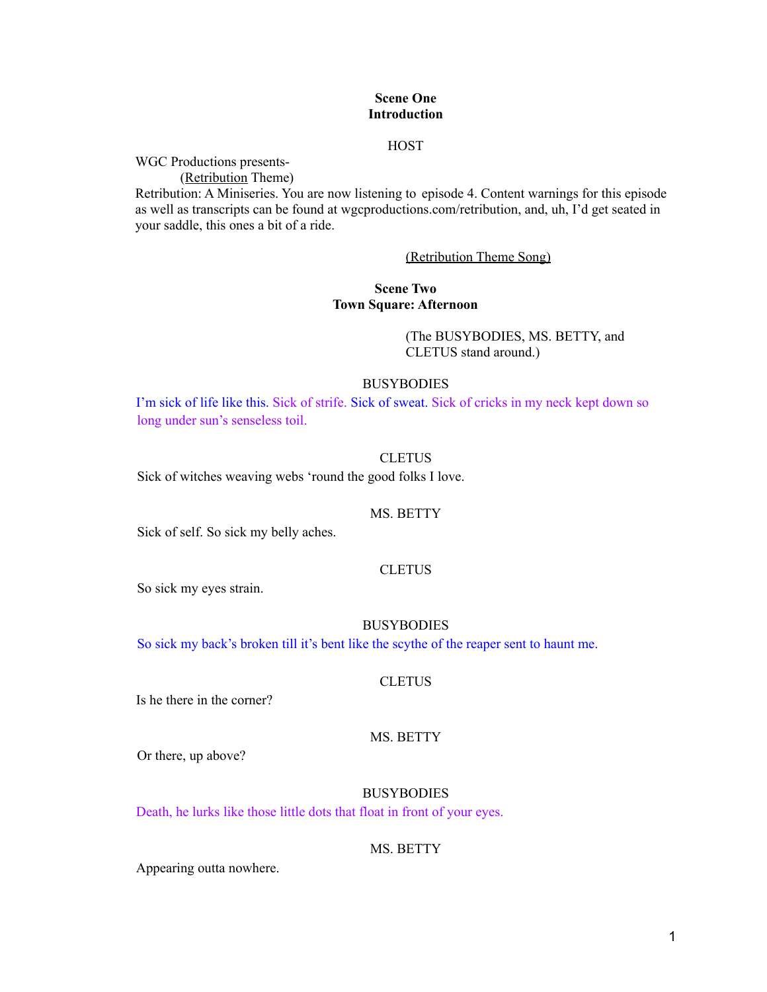#### **Scene One Introduction**

#### **HOST**

WGC Productions presents-

(Retribution Theme)

Retribution: A Miniseries. You are now listening to episode 4. Content warnings for this episode as well as transcripts can be found at wgcproductions.com/retribution, and, uh, I'd get seated in your saddle, this ones a bit of a ride.

#### (Retribution Theme Song)

#### **Scene Two Town Square: Afternoon**

(The BUSYBODIES, MS. BETTY, and CLETUS stand around.)

#### **BUSYBODIES**

I'm sick of life like this. Sick of strife. Sick of sweat. Sick of cricks in my neck kept down so long under sun's senseless toil.

#### **CLETUS**

Sick of witches weaving webs 'round the good folks I love.

#### MS. BETTY

Sick of self. So sick my belly aches.

#### **CLETUS**

So sick my eyes strain.

#### BUSYBODIES

So sick my back's broken till it's bent like the scythe of the reaper sent to haunt me.

#### **CLETUS**

Is he there in the corner?

#### MS. BETTY

Or there, up above?

#### **BUSYBODIES**

Death, he lurks like those little dots that float in front of your eyes.

#### MS. BETTY

Appearing outta nowhere.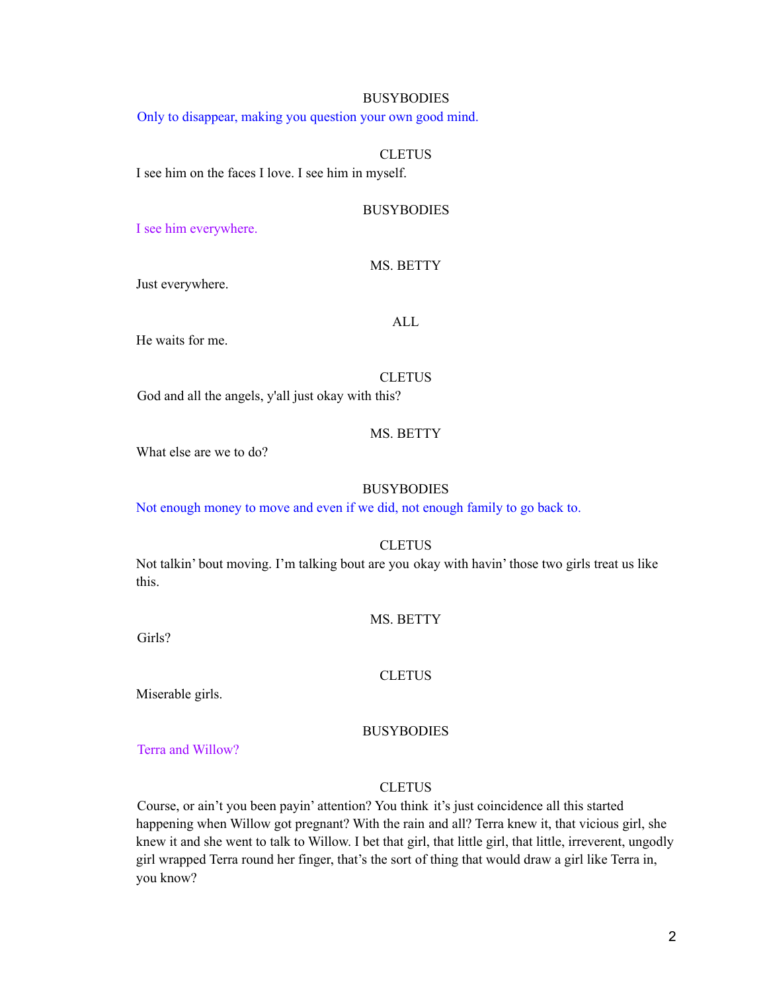#### BUSYBODIES

Only to disappear, making you question your own good mind.

#### **CLETUS**

I see him on the faces I love. I see him in myself.

#### **BUSYBODIES**

I see him everywhere.

#### MS. BETTY

Just everywhere.

#### ALL

He waits for me.

#### **CLETUS**

God and all the angels, y'all just okay with this?

#### MS. BETTY

What else are we to do?

#### **BUSYBODIES**

Not enough money to move and even if we did, not enough family to go back to.

#### **CLETUS**

Not talkin' bout moving. I'm talking bout are you okay with havin' those two girls treat us like this.

#### MS. BETTY

Girls?

#### **CLETUS**

Miserable girls.

#### **BUSYBODIES**

Terra and Willow?

#### **CLETUS**

Course, or ain't you been payin' attention? You think it's just coincidence all this started happening when Willow got pregnant? With the rain and all? Terra knew it, that vicious girl, she knew it and she went to talk to Willow. I bet that girl, that little girl, that little, irreverent, ungodly girl wrapped Terra round her finger, that's the sort of thing that would draw a girl like Terra in, you know?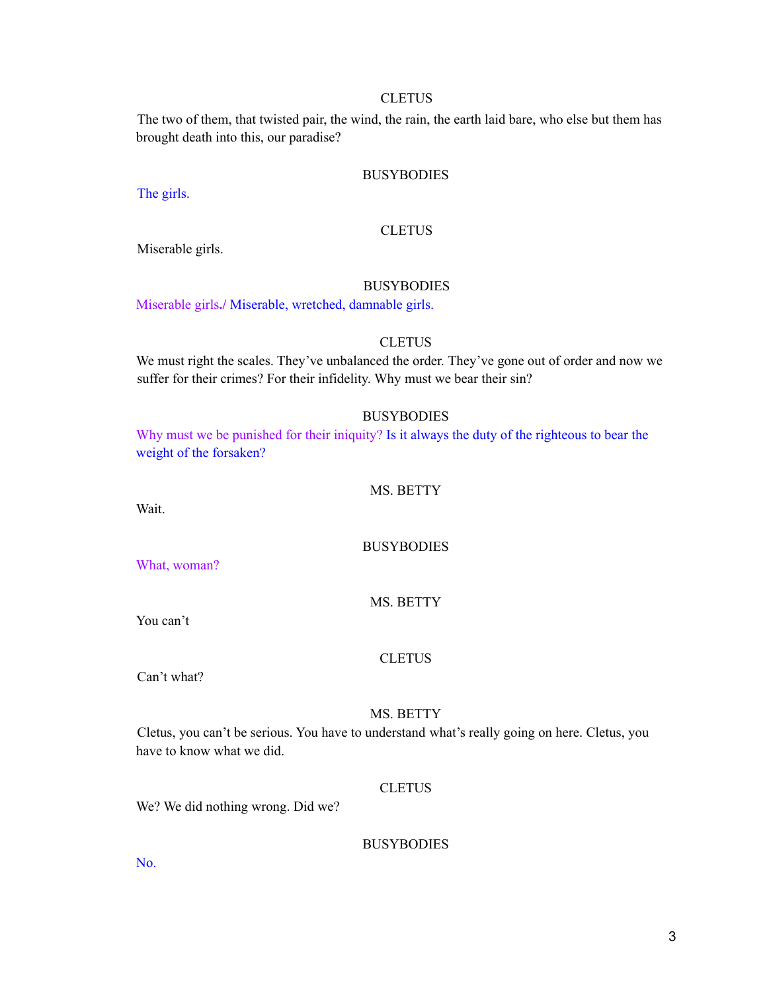#### **CLETUS**

The two of them, that twisted pair, the wind, the rain, the earth laid bare, who else but them has brought death into this, our paradise?

#### **BUSYBODIES**

The girls.

#### **CLETUS**

Miserable girls.

#### BUSYBODIES

Miserable girls**./** Miserable, wretched, damnable girls.

#### **CLETUS**

We must right the scales. They've unbalanced the order. They've gone out of order and now we suffer for their crimes? For their infidelity. Why must we bear their sin?

#### **BUSYBODIES**

Why must we be punished for their iniquity? Is it always the duty of the righteous to bear the weight of the forsaken?

#### MS. BETTY

Wait.

#### **BUSYBODIES**

What, woman?

#### MS. BETTY

You can't

#### **CLETUS**

Can't what?

#### MS. BETTY

Cletus, you can't be serious. You have to understand what's really going on here. Cletus, you have to know what we did.

#### **CLETUS**

We? We did nothing wrong. Did we?

#### **BUSYBODIES**

No.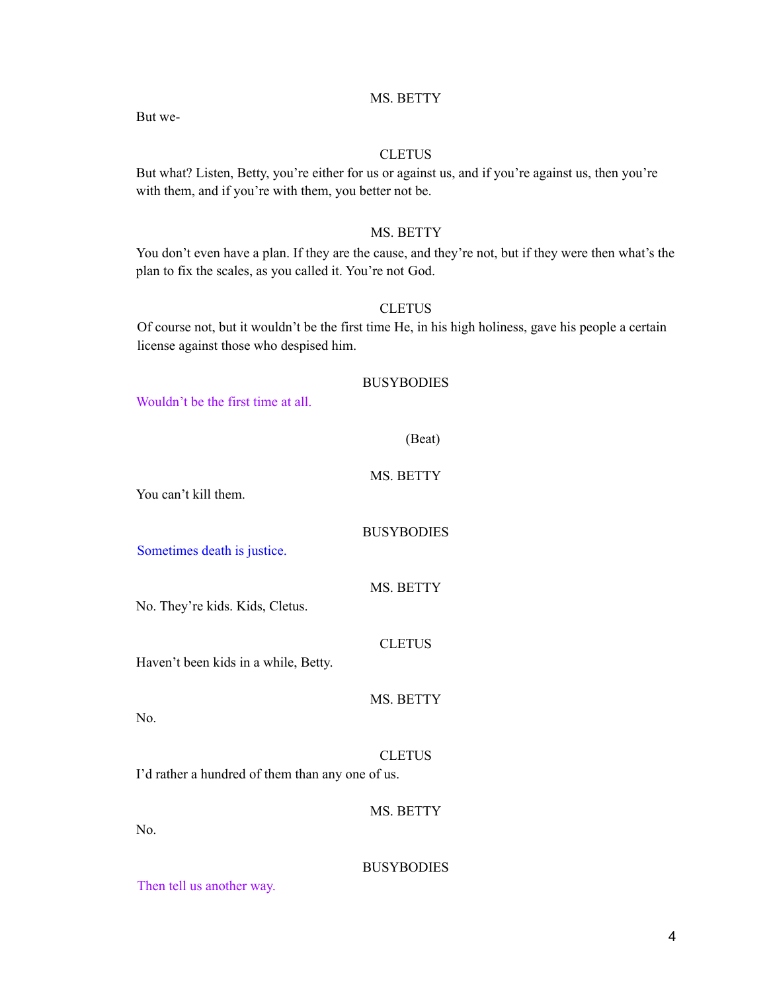#### MS. BETTY

But we-

#### **CLETUS**

But what? Listen, Betty, you're either for us or against us, and if you're against us, then you're with them, and if you're with them, you better not be.

#### MS. BETTY

You don't even have a plan. If they are the cause, and they're not, but if they were then what's the plan to fix the scales, as you called it. You're not God.

#### **CLETUS**

Of course not, but it wouldn't be the first time He, in his high holiness, gave his people a certain license against those who despised him.

#### BUSYBODIES

Wouldn't be the first time at all.

| - 2<br>Ω |
|----------|
|----------|

#### MS. BETTY

You can't kill them.

#### **BUSYBODIES**

Sometimes death is justice.

MS. BETTY

**CLETUS** 

MS. BETTY

No. They're kids. Kids, Cletus.

Haven't been kids in a while, Betty.

No.

#### **CLETUS**

I'd rather a hundred of them than any one of us.

#### MS. BETTY

No.

#### **BUSYBODIES**

Then tell us another way.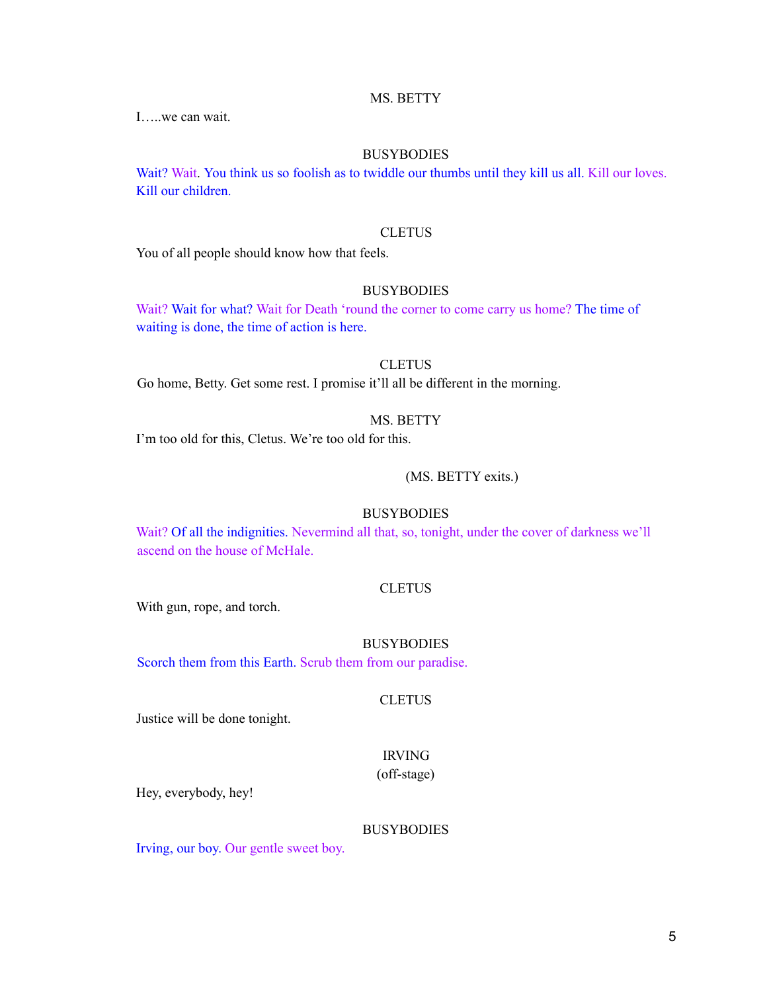#### MS. BETTY

I…..we can wait.

#### BUSYBODIES

Wait? Wait. You think us so foolish as to twiddle our thumbs until they kill us all. Kill our loves. Kill our children.

#### **CLETUS**

You of all people should know how that feels.

#### BUSYBODIES

Wait? Wait for what? Wait for Death 'round the corner to come carry us home? The time of waiting is done, the time of action is here.

#### **CLETUS**

Go home, Betty. Get some rest. I promise it'll all be different in the morning.

#### MS. BETTY

I'm too old for this, Cletus. We're too old for this.

#### (MS. BETTY exits.)

#### **BUSYBODIES**

Wait? Of all the indignities. Nevermind all that, so, tonight, under the cover of darkness we'll ascend on the house of McHale.

#### **CLETUS**

With gun, rope, and torch.

#### **BUSYBODIES**

Scorch them from this Earth. Scrub them from our paradise.

#### **CLETUS**

Justice will be done tonight.

## IRVING

(off-stage)

Hey, everybody, hey!

#### **BUSYBODIES**

Irving, our boy. Our gentle sweet boy.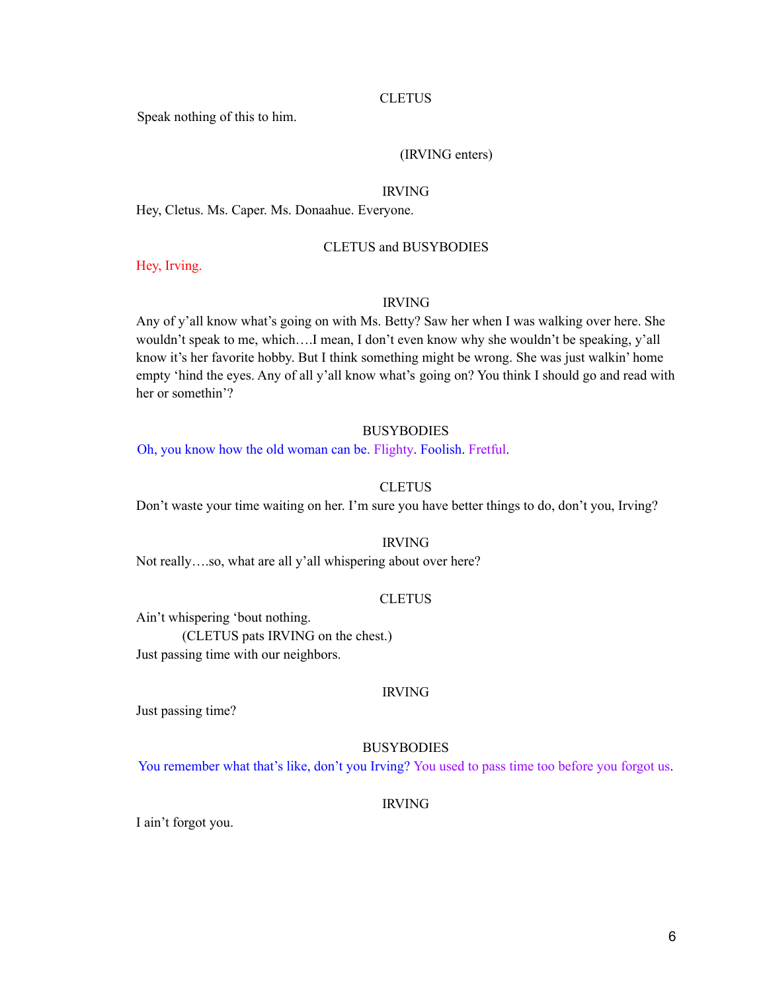#### **CLETUS**

Speak nothing of this to him.

#### (IRVING enters)

#### IRVING

Hey, Cletus. Ms. Caper. Ms. Donaahue. Everyone.

#### CLETUS and BUSYBODIES

Hey, Irving.

#### IRVING

Any of y'all know what's going on with Ms. Betty? Saw her when I was walking over here. She wouldn't speak to me, which….I mean, I don't even know why she wouldn't be speaking, y'all know it's her favorite hobby. But I think something might be wrong. She was just walkin' home empty 'hind the eyes. Any of all y'all know what's going on? You think I should go and read with her or somethin'?

#### **BUSYBODIES**

Oh, you know how the old woman can be. Flighty. Foolish. Fretful.

#### **CLETUS**

Don't waste your time waiting on her. I'm sure you have better things to do, don't you, Irving?

#### IRVING

Not really….so, what are all y'all whispering about over here?

#### **CLETUS**

Ain't whispering 'bout nothing.

(CLETUS pats IRVING on the chest.) Just passing time with our neighbors.

#### IRVING

Just passing time?

#### BUSYBODIES

You remember what that's like, don't you Irving? You used to pass time too before you forgot us.

#### IRVING

I ain't forgot you.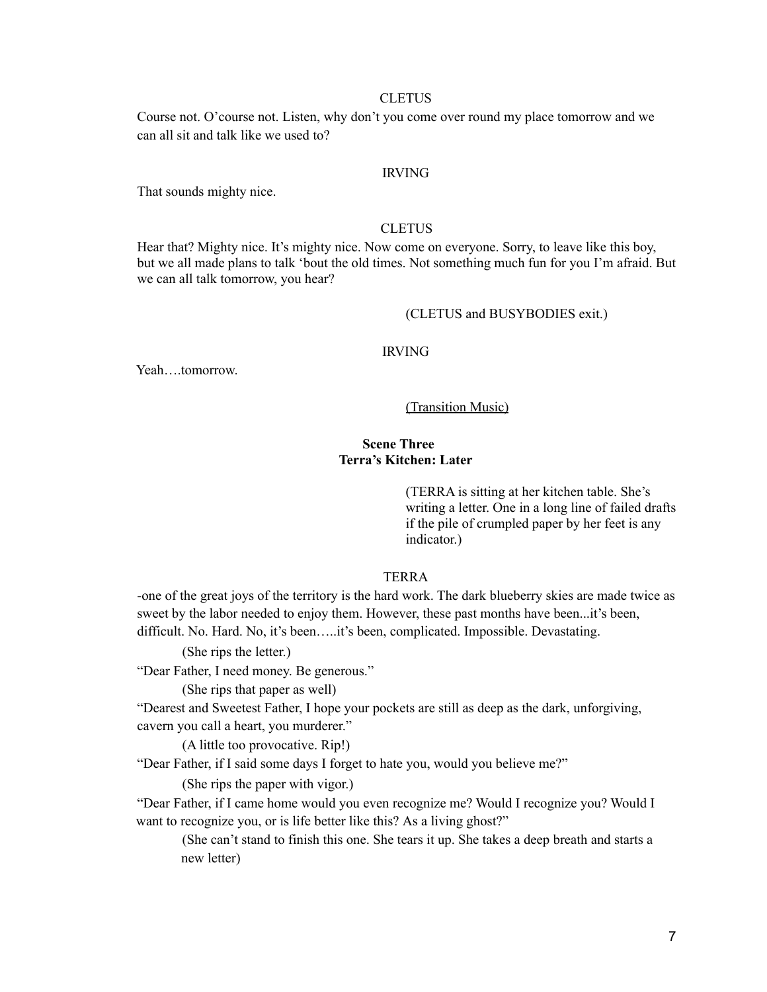#### **CLETUS**

Course not. O'course not. Listen, why don't you come over round my place tomorrow and we can all sit and talk like we used to?

#### IRVING

That sounds mighty nice.

#### **CLETUS**

Hear that? Mighty nice. It's mighty nice. Now come on everyone. Sorry, to leave like this boy, but we all made plans to talk 'bout the old times. Not something much fun for you I'm afraid. But we can all talk tomorrow, you hear?

#### (CLETUS and BUSYBODIES exit.)

#### IRVING

Yeah….tomorrow.

#### (Transition Music)

#### **Scene Three Terra's Kitchen: Later**

(TERRA is sitting at her kitchen table. She's writing a letter. One in a long line of failed drafts if the pile of crumpled paper by her feet is any indicator.)

#### TERRA

-one of the great joys of the territory is the hard work. The dark blueberry skies are made twice as sweet by the labor needed to enjoy them. However, these past months have been...it's been, difficult. No. Hard. No, it's been…..it's been, complicated. Impossible. Devastating.

(She rips the letter.)

"Dear Father, I need money. Be generous."

(She rips that paper as well)

"Dearest and Sweetest Father, I hope your pockets are still as deep as the dark, unforgiving, cavern you call a heart, you murderer."

(A little too provocative. Rip!)

"Dear Father, if I said some days I forget to hate you, would you believe me?"

(She rips the paper with vigor.)

"Dear Father, if I came home would you even recognize me? Would I recognize you? Would I want to recognize you, or is life better like this? As a living ghost?"

(She can't stand to finish this one. She tears it up. She takes a deep breath and starts a new letter)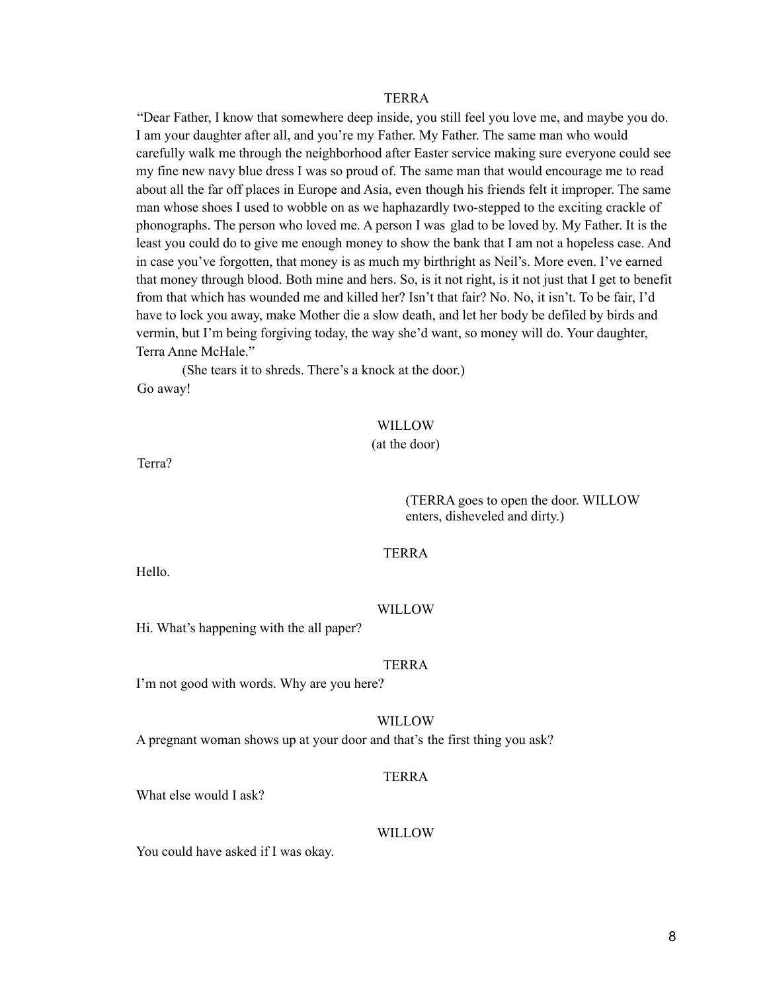"Dear Father, I know that somewhere deep inside, you still feel you love me, and maybe you do. I am your daughter after all, and you're my Father. My Father. The same man who would carefully walk me through the neighborhood after Easter service making sure everyone could see my fine new navy blue dress I was so proud of. The same man that would encourage me to read about all the far off places in Europe and Asia, even though his friends felt it improper. The same man whose shoes I used to wobble on as we haphazardly two-stepped to the exciting crackle of phonographs. The person who loved me. A person I was glad to be loved by. My Father. It is the least you could do to give me enough money to show the bank that I am not a hopeless case. And in case you've forgotten, that money is as much my birthright as Neil's. More even. I've earned that money through blood. Both mine and hers. So, is it not right, is it not just that I get to benefit from that which has wounded me and killed her? Isn't that fair? No. No, it isn't. To be fair, I'd have to lock you away, make Mother die a slow death, and let her body be defiled by birds and vermin, but I'm being forgiving today, the way she'd want, so money will do. Your daughter, Terra Anne McHale."

(She tears it to shreds. There's a knock at the door.) Go away!

#### WILLOW

#### (at the door)

Terra?

(TERRA goes to open the door. WILLOW enters, disheveled and dirty.)

#### TERRA

Hello.

#### WILLOW

Hi. What's happening with the all paper?

#### **TERRA**

I'm not good with words. Why are you here?

#### WILLOW

A pregnant woman shows up at your door and that's the first thing you ask?

#### TERRA

What else would I ask?

#### WILLOW

You could have asked if I was okay.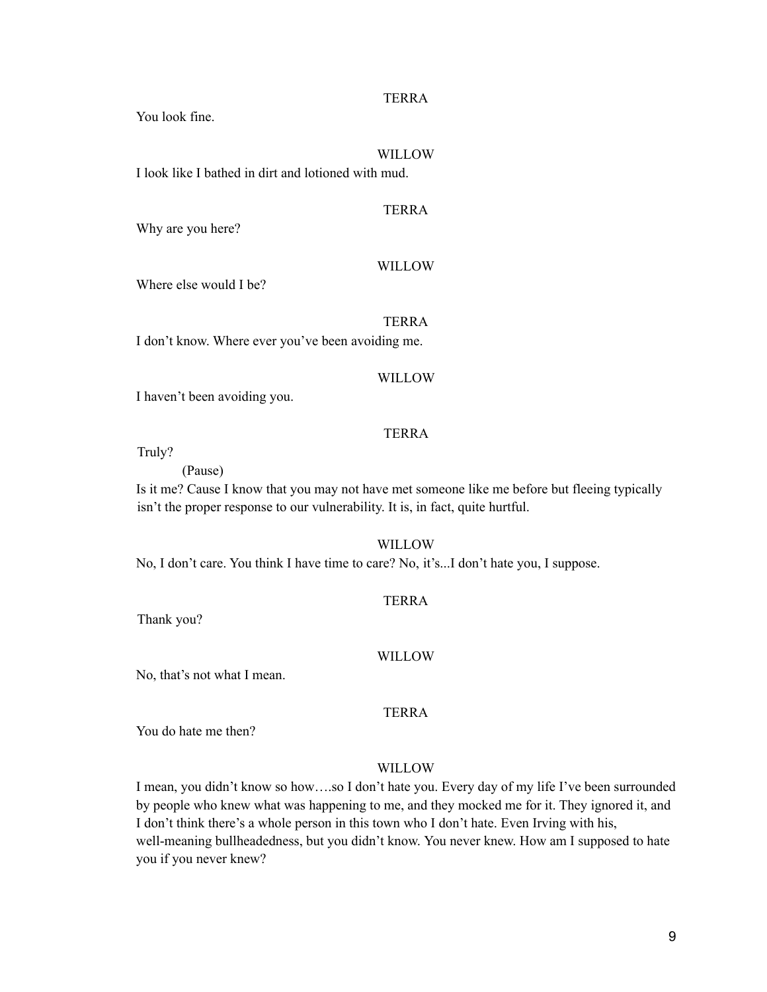You look fine.

#### WILLOW

I look like I bathed in dirt and lotioned with mud.

#### TERRA

Why are you here?

#### WILLOW

Where else would I be?

#### TERRA

I don't know. Where ever you've been avoiding me.

#### WILLOW

I haven't been avoiding you.

#### **TERRA**

Truly?

(Pause)

Is it me? Cause I know that you may not have met someone like me before but fleeing typically isn't the proper response to our vulnerability. It is, in fact, quite hurtful.

WILLOW

No, I don't care. You think I have time to care? No, it's...I don't hate you, I suppose.

#### TERRA

Thank you?

#### WILLOW

No, that's not what I mean.

TERRA

You do hate me then?

#### WILLOW

I mean, you didn't know so how….so I don't hate you. Every day of my life I've been surrounded by people who knew what was happening to me, and they mocked me for it. They ignored it, and I don't think there's a whole person in this town who I don't hate. Even Irving with his, well-meaning bullheadedness, but you didn't know. You never knew. How am I supposed to hate you if you never knew?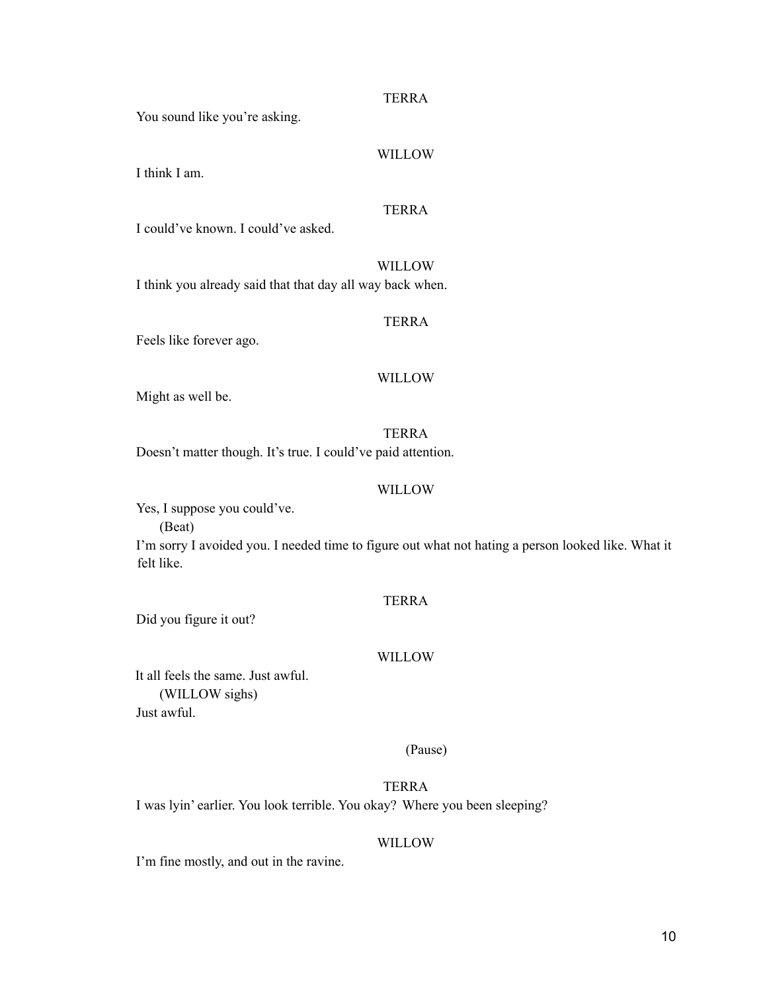You sound like you're asking.

#### WILLOW

I think I am.

#### TERRA

I could've known. I could've asked.

WILLOW

I think you already said that that day all way back when.

#### TERRA

Feels like forever ago.

#### WILLOW

Might as well be.

TERRA Doesn't matter though. It's true. I could've paid attention.

#### WILLOW

Yes, I suppose you could've.

(Beat)

I'm sorry I avoided you. I needed time to figure out what not hating a person looked like. What it felt like.

#### TERRA

Did you figure it out?

#### WILLOW

It all feels the same. Just awful. (WILLOW sighs) Just awful.

#### (Pause)

TERRA I was lyin' earlier. You look terrible. You okay? Where you been sleeping?

#### WILLOW

I'm fine mostly, and out in the ravine.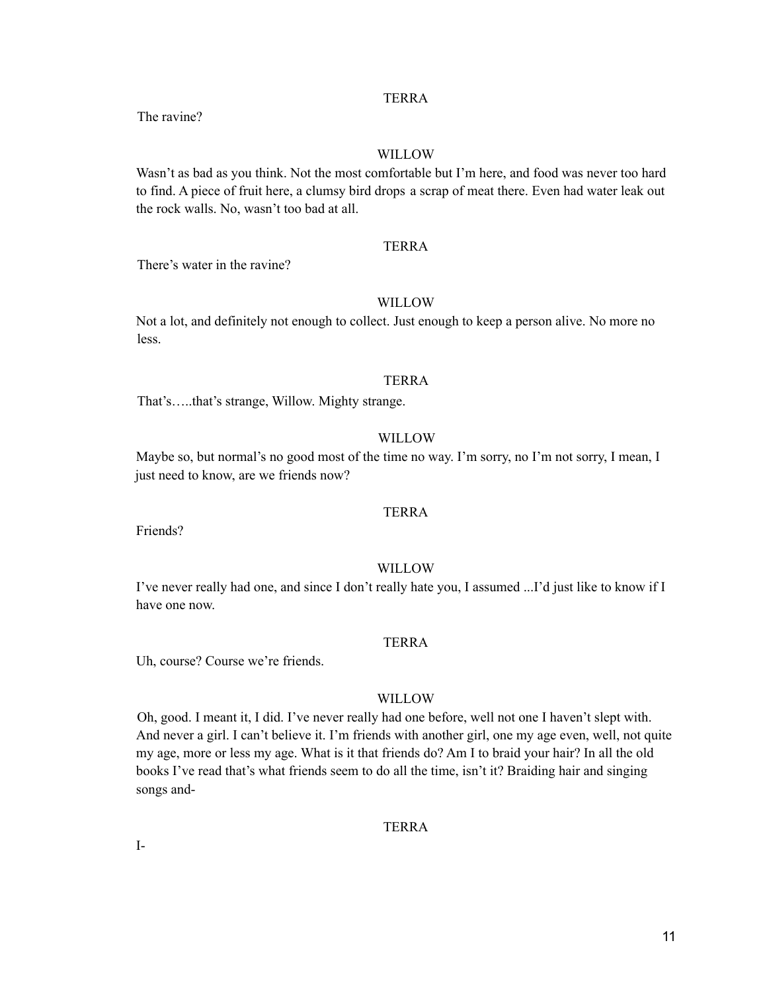The ravine?

#### WILLOW

Wasn't as bad as you think. Not the most comfortable but I'm here, and food was never too hard to find. A piece of fruit here, a clumsy bird drops a scrap of meat there. Even had water leak out the rock walls. No, wasn't too bad at all.

#### TERRA

There's water in the ravine?

#### WILLOW

Not a lot, and definitely not enough to collect. Just enough to keep a person alive. No more no less.

#### TERRA

That's…..that's strange, Willow. Mighty strange.

#### WILLOW

Maybe so, but normal's no good most of the time no way. I'm sorry, no I'm not sorry, I mean, I just need to know, are we friends now?

#### TERRA

Friends?

#### WILLOW

I've never really had one, and since I don't really hate you, I assumed ...I'd just like to know if I have one now.

#### TERRA

Uh, course? Course we're friends.

#### WILLOW

Oh, good. I meant it, I did. I've never really had one before, well not one I haven't slept with. And never a girl. I can't believe it. I'm friends with another girl, one my age even, well, not quite my age, more or less my age. What is it that friends do? Am I to braid your hair? In all the old books I've read that's what friends seem to do all the time, isn't it? Braiding hair and singing songs and-

TERRA

I-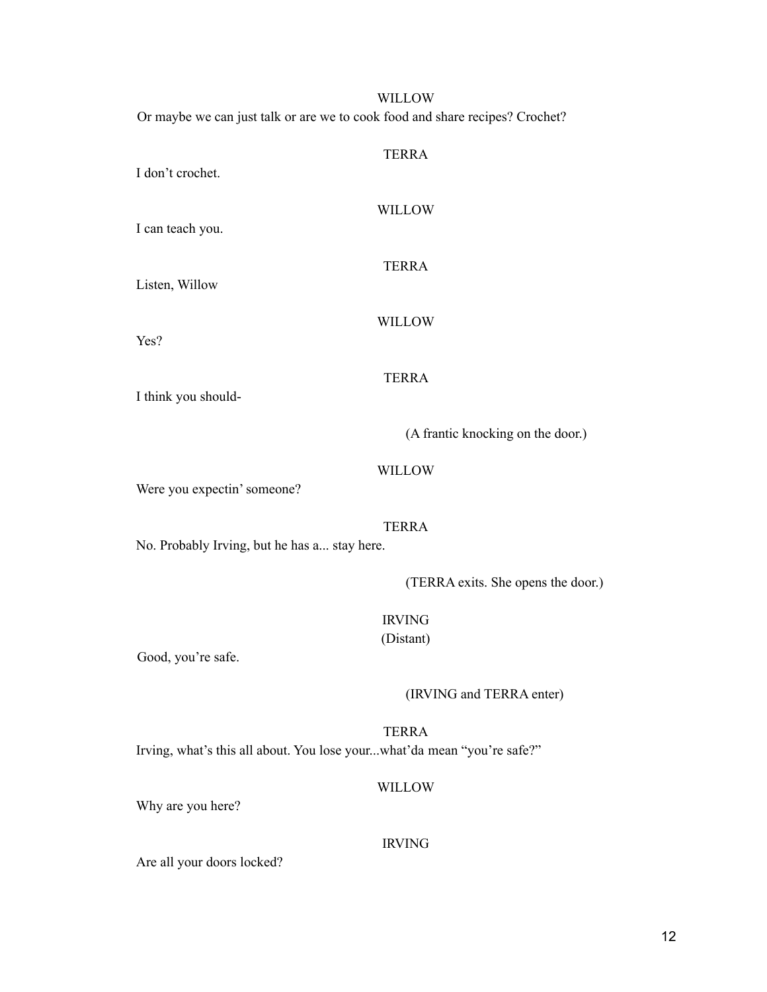#### WILLOW Or maybe we can just talk or are we to cook food and share recipes? Crochet?

| I don't crochet.                             | <b>TERRA</b>                       |
|----------------------------------------------|------------------------------------|
| I can teach you.                             | <b>WILLOW</b>                      |
| Listen, Willow                               | <b>TERRA</b>                       |
| Yes?                                         | <b>WILLOW</b>                      |
|                                              | <b>TERRA</b>                       |
| I think you should-                          | (A frantic knocking on the door.)  |
| Were you expectin' someone?                  | WILLOW                             |
| No. Probably Irving, but he has a stay here. | <b>TERRA</b>                       |
|                                              | (TERRA exits. She opens the door.) |
|                                              | <b>IRVING</b><br>(Distant)         |
| Good, you're safe.                           | (IRVING and TERRA enter)           |

TERRA Irving, what's this all about. You lose your...what'da mean "you're safe?"

#### WILLOW

Why are you here?

#### IRVING

Are all your doors locked?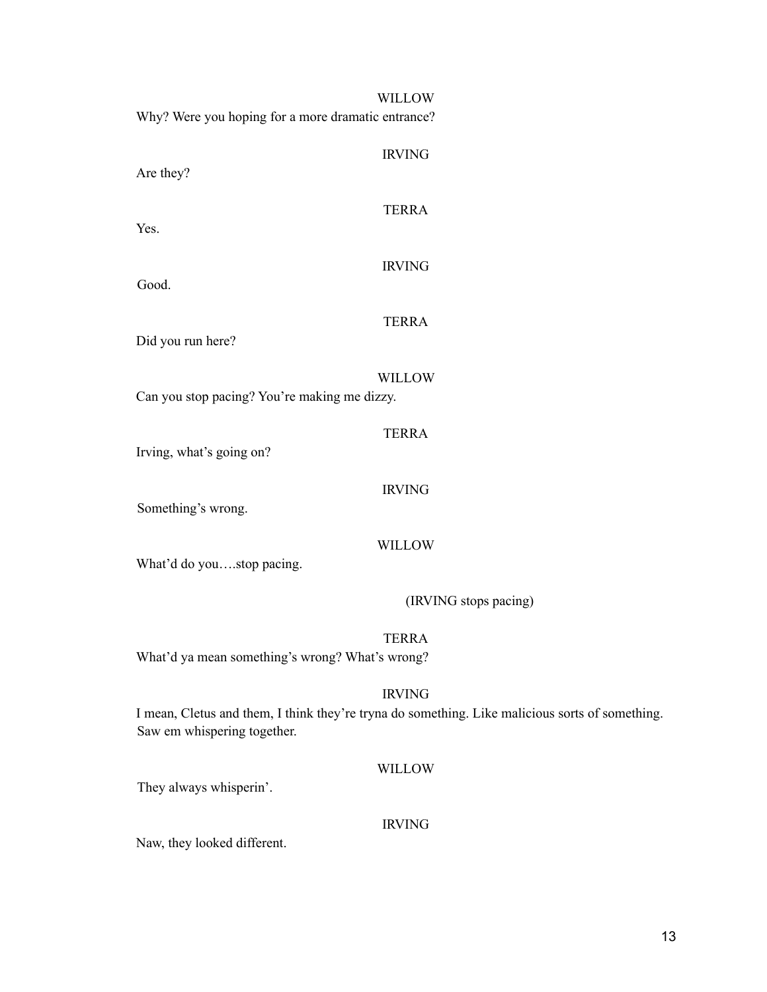| <b>WILLOW</b><br>Why? Were you hoping for a more dramatic entrance?                                                                             |  |
|-------------------------------------------------------------------------------------------------------------------------------------------------|--|
| <b>IRVING</b><br>Are they?                                                                                                                      |  |
| <b>TERRA</b><br>Yes.                                                                                                                            |  |
| <b>IRVING</b><br>Good.                                                                                                                          |  |
| <b>TERRA</b><br>Did you run here?                                                                                                               |  |
| <b>WILLOW</b><br>Can you stop pacing? You're making me dizzy.                                                                                   |  |
| <b>TERRA</b>                                                                                                                                    |  |
| Irving, what's going on?<br><b>IRVING</b>                                                                                                       |  |
| Something's wrong.<br><b>WILLOW</b>                                                                                                             |  |
| What'd do youstop pacing.<br>(IRVING stops pacing)                                                                                              |  |
|                                                                                                                                                 |  |
| <b>TERRA</b><br>What'd ya mean something's wrong? What's wrong?                                                                                 |  |
| <b>IRVING</b><br>I mean, Cletus and them, I think they're tryna do something. Like malicious sorts of something.<br>Saw em whispering together. |  |
| <b>WILLOW</b><br>They always whisperin'.                                                                                                        |  |
| <b>IRVING</b>                                                                                                                                   |  |

Naw, they looked different.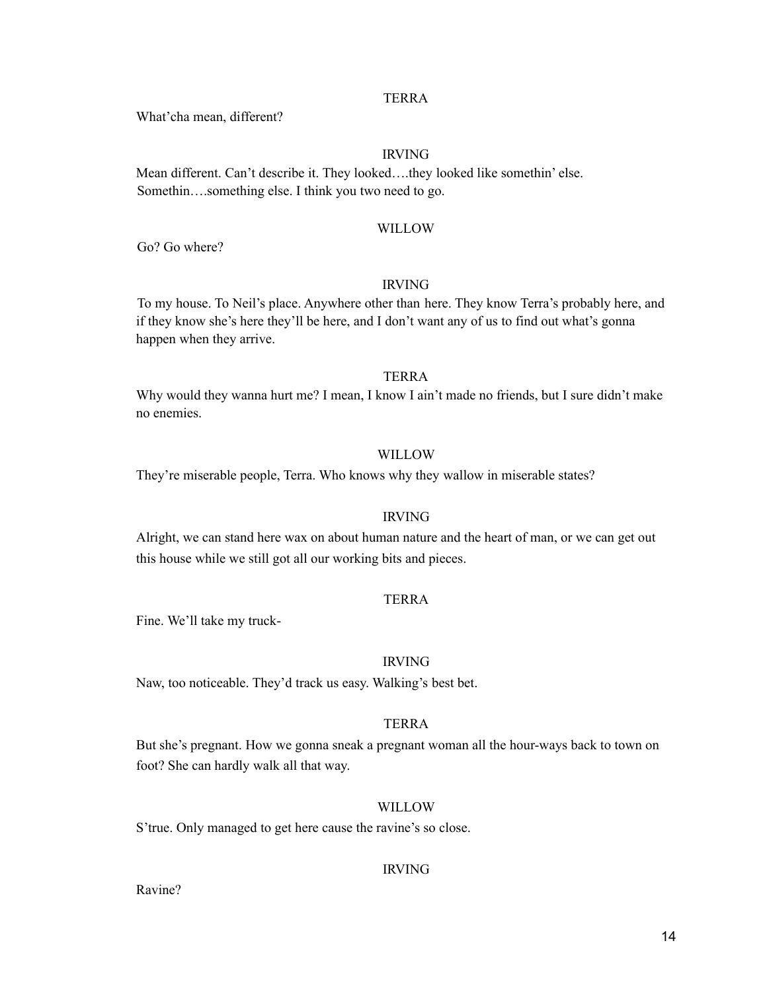What'cha mean, different?

#### IRVING

Mean different. Can't describe it. They looked….they looked like somethin' else. Somethin….something else. I think you two need to go.

#### WILLOW

Go? Go where?

#### IRVING

To my house. To Neil's place. Anywhere other than here. They know Terra's probably here, and if they know she's here they'll be here, and I don't want any of us to find out what's gonna happen when they arrive.

#### TERRA

Why would they wanna hurt me? I mean, I know I ain't made no friends, but I sure didn't make no enemies.

#### WILLOW

They're miserable people, Terra. Who knows why they wallow in miserable states?

#### IRVING

Alright, we can stand here wax on about human nature and the heart of man, or we can get out this house while we still got all our working bits and pieces.

#### TERRA

Fine. We'll take my truck-

#### IRVING

Naw, too noticeable. They'd track us easy. Walking's best bet.

#### TERRA

But she's pregnant. How we gonna sneak a pregnant woman all the hour-ways back to town on foot? She can hardly walk all that way.

#### WILLOW

S'true. Only managed to get here cause the ravine's so close.

#### IRVING

Ravine?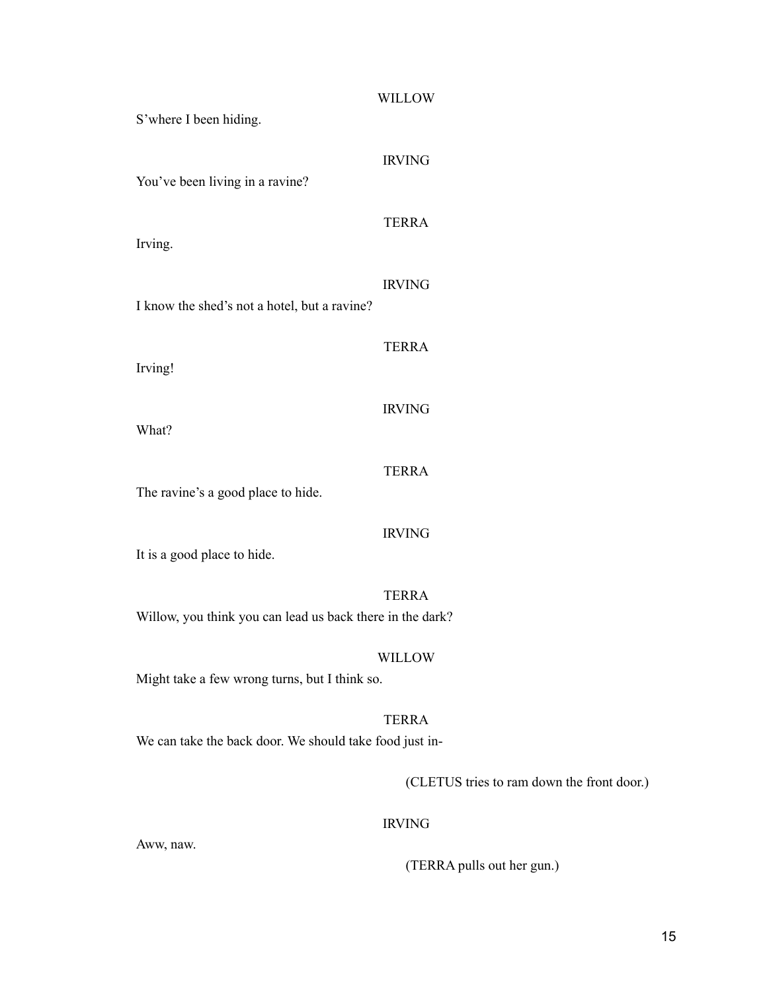| S'where I been hiding.                                                  | <b>WILLOW</b>                              |
|-------------------------------------------------------------------------|--------------------------------------------|
| You've been living in a ravine?                                         | <b>IRVING</b>                              |
| Irving.                                                                 | <b>TERRA</b>                               |
| I know the shed's not a hotel, but a ravine?                            | <b>IRVING</b>                              |
| Irving!                                                                 | <b>TERRA</b>                               |
| What?                                                                   | <b>IRVING</b>                              |
| The ravine's a good place to hide.                                      | <b>TERRA</b>                               |
| It is a good place to hide.                                             | <b>IRVING</b>                              |
| Willow, you think you can lead us back there in the dark?               | <b>TERRA</b>                               |
| Might take a few wrong turns, but I think so.                           | WILLOW                                     |
| <b>TERRA</b><br>We can take the back door. We should take food just in- |                                            |
|                                                                         | (CLETUS tries to ram down the front door.) |
|                                                                         | <b>IRVING</b>                              |

Aww, naw.

(TERRA pulls out her gun.)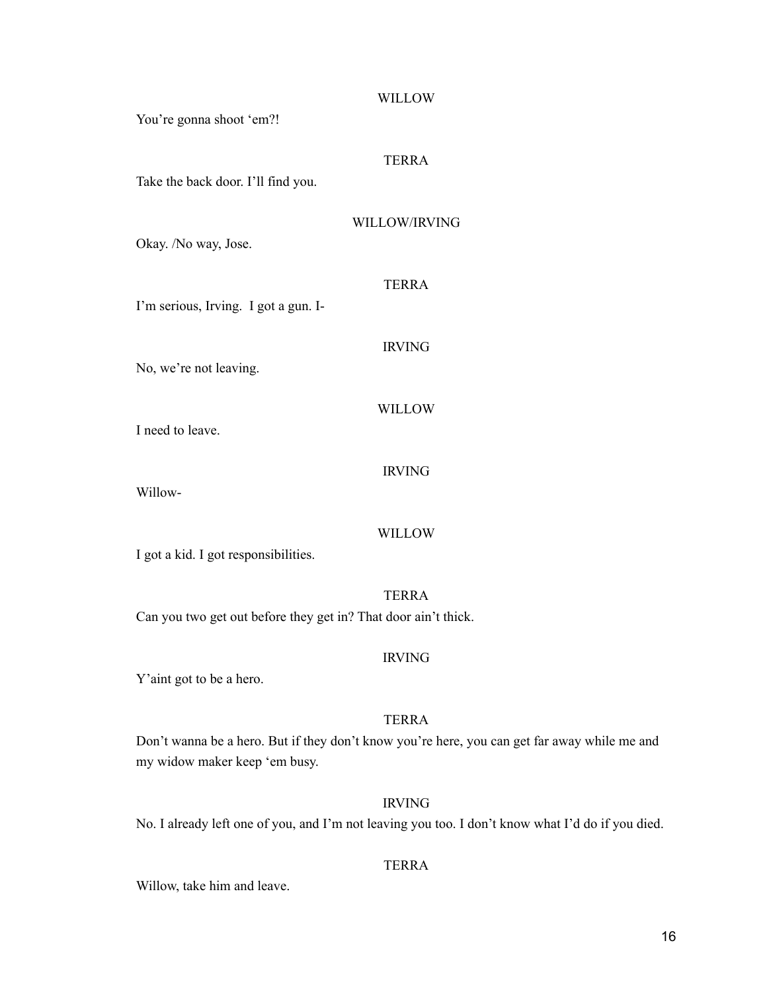## WILLOW You're gonna shoot 'em?! TERRA Take the back door. I'll find you. WILLOW/IRVING Okay. /No way, Jose. TERRA I'm serious, Irving. I got a gun. I-IRVING No, we're not leaving. WILLOW I need to leave. IRVING Willow-WILLOW

I got a kid. I got responsibilities.

TERRA Can you two get out before they get in? That door ain't thick.

#### IRVING

Y'aint got to be a hero.

#### TERRA

Don't wanna be a hero. But if they don't know you're here, you can get far away while me and my widow maker keep 'em busy.

#### IRVING

No. I already left one of you, and I'm not leaving you too. I don't know what I'd do if you died.

#### TERRA

Willow, take him and leave.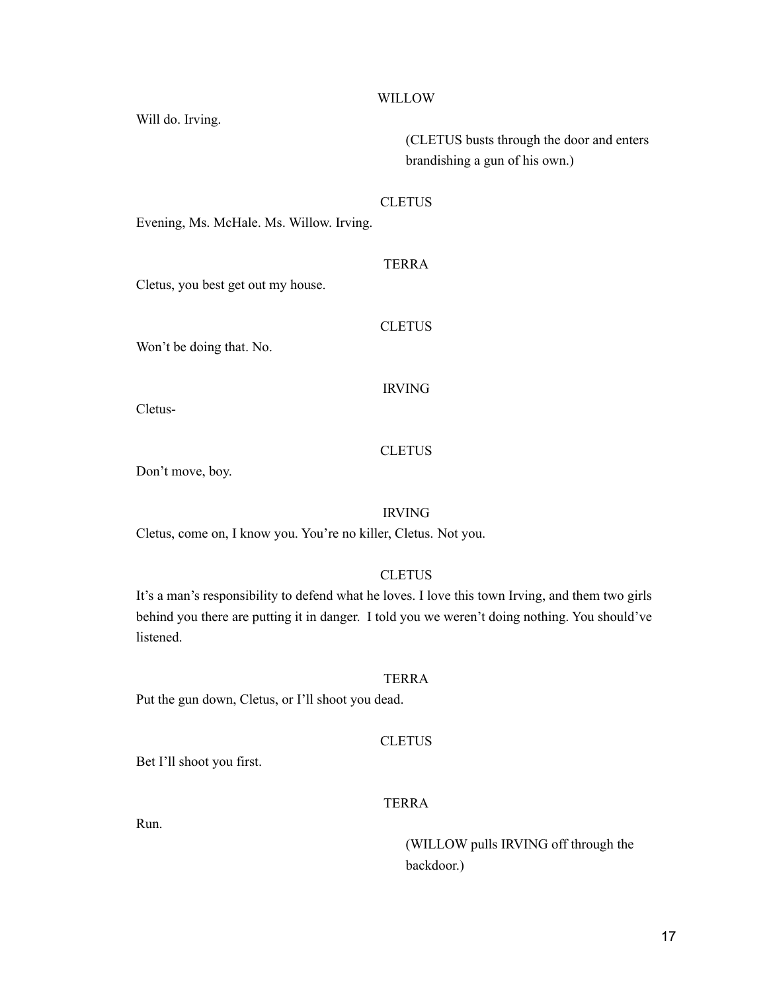WILLOW

Will do. Irving.

(CLETUS busts through the door and enters brandishing a gun of his own.)

#### **CLETUS**

Evening, Ms. McHale. Ms. Willow. Irving.

#### TERRA

Cletus, you best get out my house.

Won't be doing that. No.

IRVING

**CLETUS** 

Cletus-

#### **CLETUS**

Don't move, boy.

#### IRVING

Cletus, come on, I know you. You're no killer, Cletus. Not you.

#### **CLETUS**

It's a man's responsibility to defend what he loves. I love this town Irving, and them two girls behind you there are putting it in danger. I told you we weren't doing nothing. You should've listened.

#### TERRA

Put the gun down, Cletus, or I'll shoot you dead.

#### **CLETUS**

Bet I'll shoot you first.

#### TERRA

Run.

(WILLOW pulls IRVING off through the backdoor.)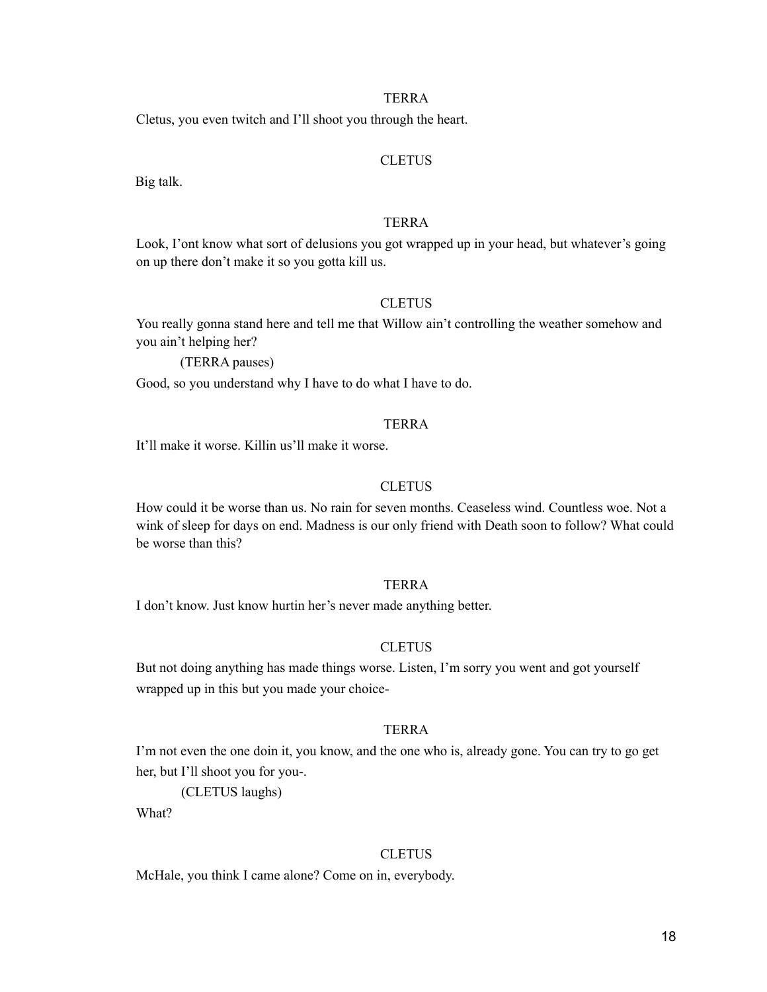Cletus, you even twitch and I'll shoot you through the heart.

#### **CLETUS**

Big talk.

#### **TERRA**

Look, I'ont know what sort of delusions you got wrapped up in your head, but whatever's going on up there don't make it so you gotta kill us.

#### **CLETUS**

You really gonna stand here and tell me that Willow ain't controlling the weather somehow and you ain't helping her?

(TERRA pauses)

Good, so you understand why I have to do what I have to do.

#### TERRA

It'll make it worse. Killin us'll make it worse.

#### **CLETUS**

How could it be worse than us. No rain for seven months. Ceaseless wind. Countless woe. Not a wink of sleep for days on end. Madness is our only friend with Death soon to follow? What could be worse than this?

#### TERRA

I don't know. Just know hurtin her's never made anything better.

#### **CLETUS**

But not doing anything has made things worse. Listen, I'm sorry you went and got yourself wrapped up in this but you made your choice-

#### TERRA

I'm not even the one doin it, you know, and the one who is, already gone. You can try to go get her, but I'll shoot you for you-.

(CLETUS laughs)

What?

#### **CLETUS**

McHale, you think I came alone? Come on in, everybody.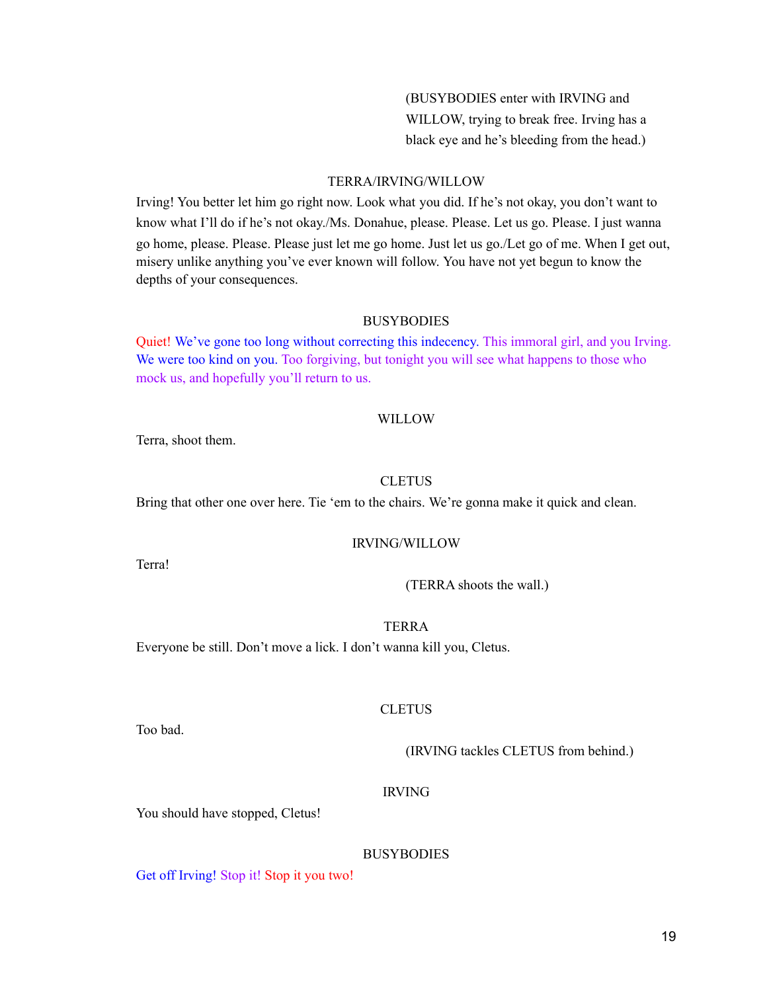(BUSYBODIES enter with IRVING and WILLOW, trying to break free. Irving has a black eye and he's bleeding from the head.)

#### TERRA/IRVING/WILLOW

Irving! You better let him go right now. Look what you did. If he's not okay, you don't want to know what I'll do if he's not okay./Ms. Donahue, please. Please. Let us go. Please. I just wanna go home, please. Please. Please just let me go home. Just let us go./Let go of me. When I get out, misery unlike anything you've ever known will follow. You have not yet begun to know the depths of your consequences.

#### **BUSYBODIES**

Quiet! We've gone too long without correcting this indecency. This immoral girl, and you Irving. We were too kind on you. Too forgiving, but tonight you will see what happens to those who mock us, and hopefully you'll return to us.

#### WILLOW

Terra, shoot them.

#### **CLETUS**

Bring that other one over here. Tie 'em to the chairs. We're gonna make it quick and clean.

#### IRVING/WILLOW

Terra!

(TERRA shoots the wall.)

TERRA

Everyone be still. Don't move a lick. I don't wanna kill you, Cletus.

#### **CLETUS**

Too bad.

(IRVING tackles CLETUS from behind.)

#### IRVING

You should have stopped, Cletus!

#### **BUSYBODIES**

Get off Irving! Stop it! Stop it you two!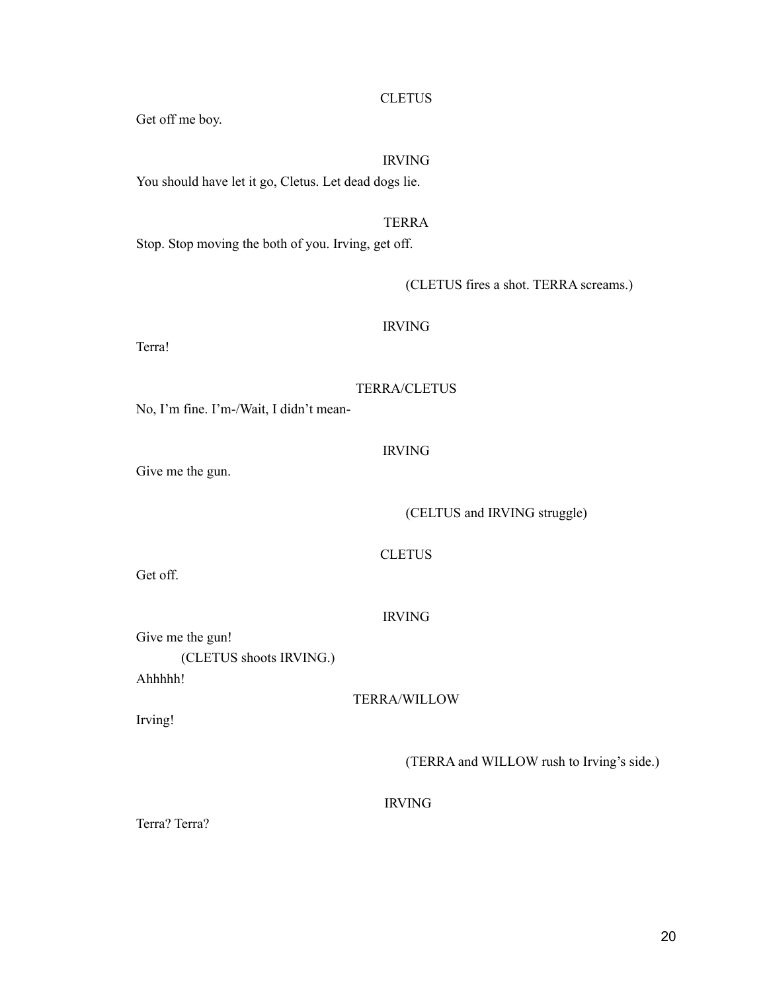#### **CLETUS**

Get off me boy.

#### IRVING

You should have let it go, Cletus. Let dead dogs lie.

#### TERRA

Stop. Stop moving the both of you. Irving, get off.

(CLETUS fires a shot. TERRA screams.)

#### IRVING

Terra!

#### TERRA/CLETUS

No, I'm fine. I'm-/Wait, I didn't mean-

IRVING

Give me the gun.

(CELTUS and IRVING struggle)

**CLETUS** 

Get off.

IRVING

Give me the gun! (CLETUS shoots IRVING.) Ahhhhh!

TERRA/WILLOW

Irving!

(TERRA and WILLOW rush to Irving's side.)

IRVING

Terra? Terra?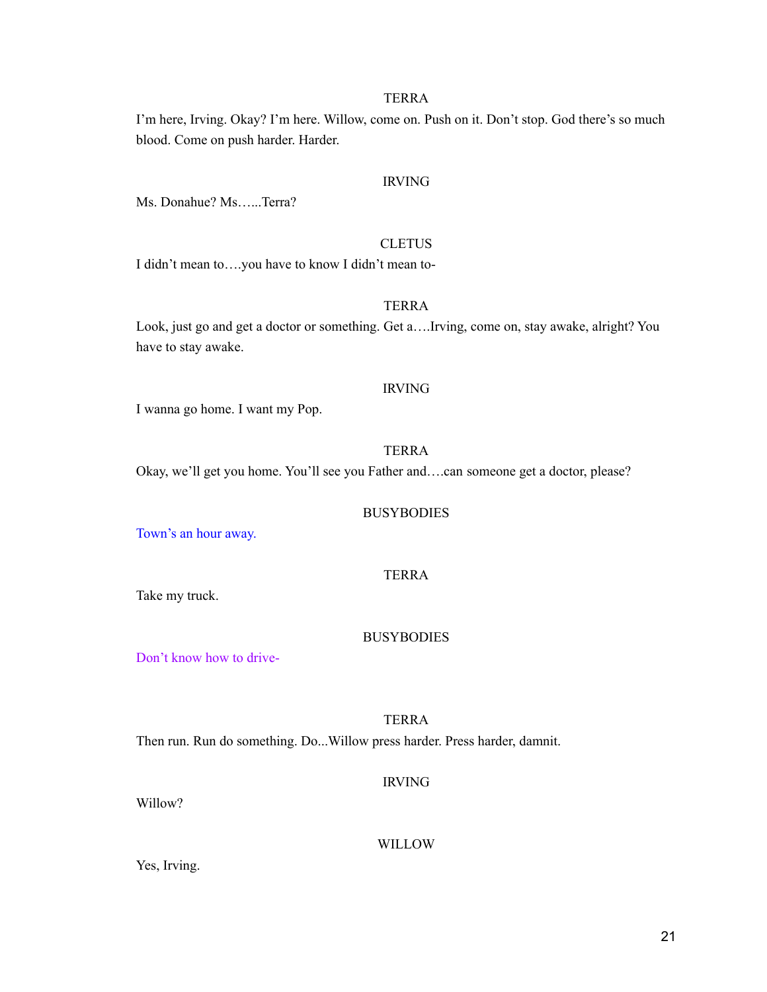I'm here, Irving. Okay? I'm here. Willow, come on. Push on it. Don't stop. God there's so much blood. Come on push harder. Harder.

#### IRVING

Ms. Donahue? Ms…...Terra?

#### **CLETUS**

I didn't mean to….you have to know I didn't mean to-

#### TERRA

Look, just go and get a doctor or something. Get a….Irving, come on, stay awake, alright? You have to stay awake.

#### IRVING

I wanna go home. I want my Pop.

#### TERRA

Okay, we'll get you home. You'll see you Father and….can someone get a doctor, please?

#### **BUSYBODIES**

Town's an hour away.

#### TERRA

Take my truck.

#### **BUSYBODIES**

Don't know how to drive-

TERRA Then run. Run do something. Do...Willow press harder. Press harder, damnit.

#### IRVING

Willow?

#### WILLOW

Yes, Irving.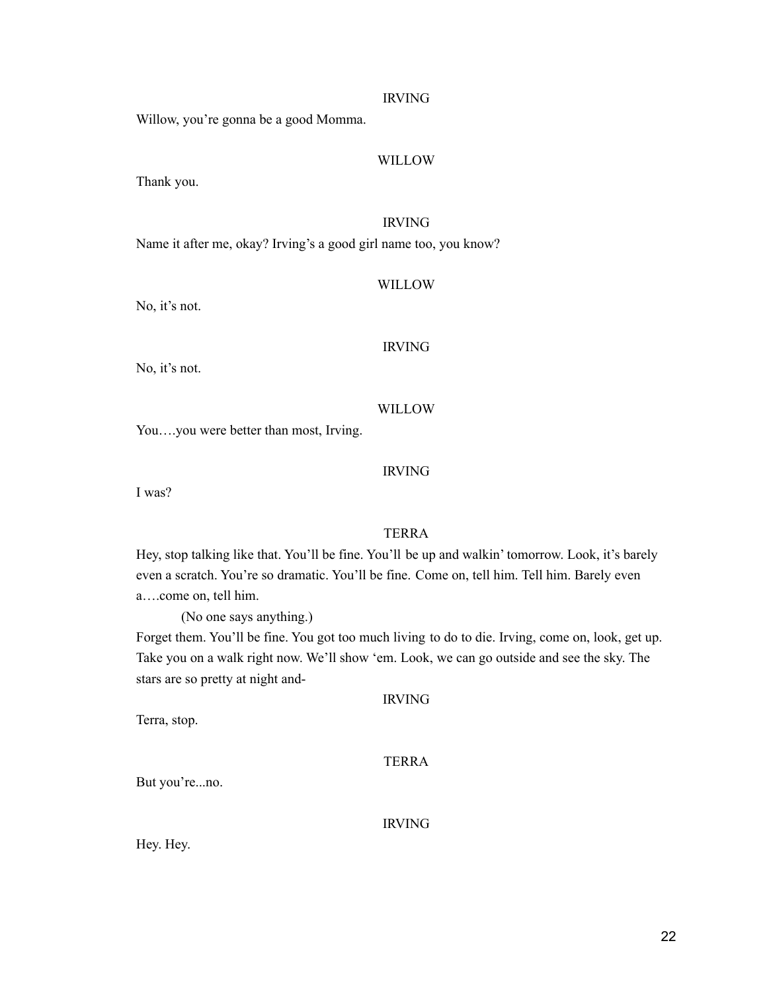#### IRVING

Willow, you're gonna be a good Momma.

#### WILLOW

Thank you.

#### IRVING

Name it after me, okay? Irving's a good girl name too, you know?

#### WILLOW

No, it's not.

#### IRVING

No, it's not.

#### WILLOW

You….you were better than most, Irving.

#### IRVING

I was?

#### TERRA

Hey, stop talking like that. You'll be fine. You'll be up and walkin' tomorrow. Look, it's barely even a scratch. You're so dramatic. You'll be fine. Come on, tell him. Tell him. Barely even a….come on, tell him.

(No one says anything.)

Forget them. You'll be fine. You got too much living to do to die. Irving, come on, look, get up. Take you on a walk right now. We'll show 'em. Look, we can go outside and see the sky. The stars are so pretty at night and-

| <b>IRVING</b> |  |
|---------------|--|
|               |  |
|               |  |

#### TERRA

But you're...no.

Terra, stop.

IRVING

Hey. Hey.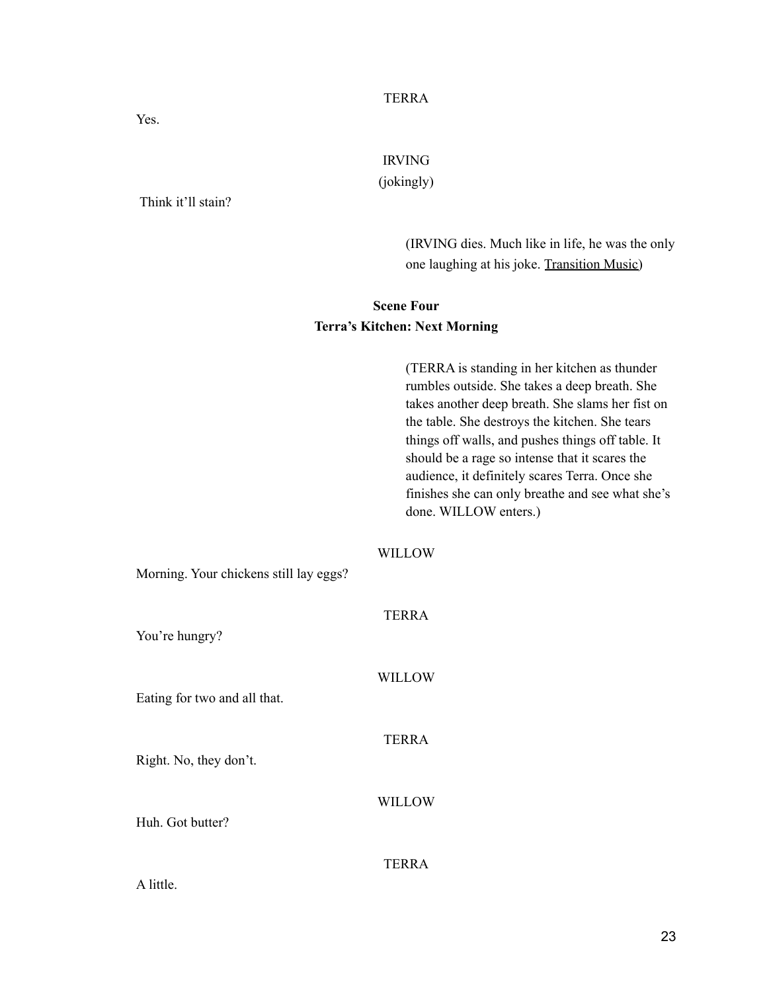Yes.

IRVING

(jokingly)

Think it'll stain?

(IRVING dies. Much like in life, he was the only one laughing at his joke. Transition Music)

### **Scene Four Terra's Kitchen: Next Morning**

|                                        | (TERRA is standing in her kitchen as thunder<br>rumbles outside. She takes a deep breath. She<br>takes another deep breath. She slams her fist on<br>the table. She destroys the kitchen. She tears<br>things off walls, and pushes things off table. It<br>should be a rage so intense that it scares the<br>audience, it definitely scares Terra. Once she<br>finishes she can only breathe and see what she's<br>done. WILLOW enters.) |
|----------------------------------------|-------------------------------------------------------------------------------------------------------------------------------------------------------------------------------------------------------------------------------------------------------------------------------------------------------------------------------------------------------------------------------------------------------------------------------------------|
| Morning. Your chickens still lay eggs? | <b>WILLOW</b>                                                                                                                                                                                                                                                                                                                                                                                                                             |
| You're hungry?                         | <b>TERRA</b>                                                                                                                                                                                                                                                                                                                                                                                                                              |
| Eating for two and all that.           | <b>WILLOW</b>                                                                                                                                                                                                                                                                                                                                                                                                                             |
| Right. No, they don't.                 | <b>TERRA</b>                                                                                                                                                                                                                                                                                                                                                                                                                              |
| Huh. Got butter?                       | <b>WILLOW</b>                                                                                                                                                                                                                                                                                                                                                                                                                             |
| A little.                              | <b>TERRA</b>                                                                                                                                                                                                                                                                                                                                                                                                                              |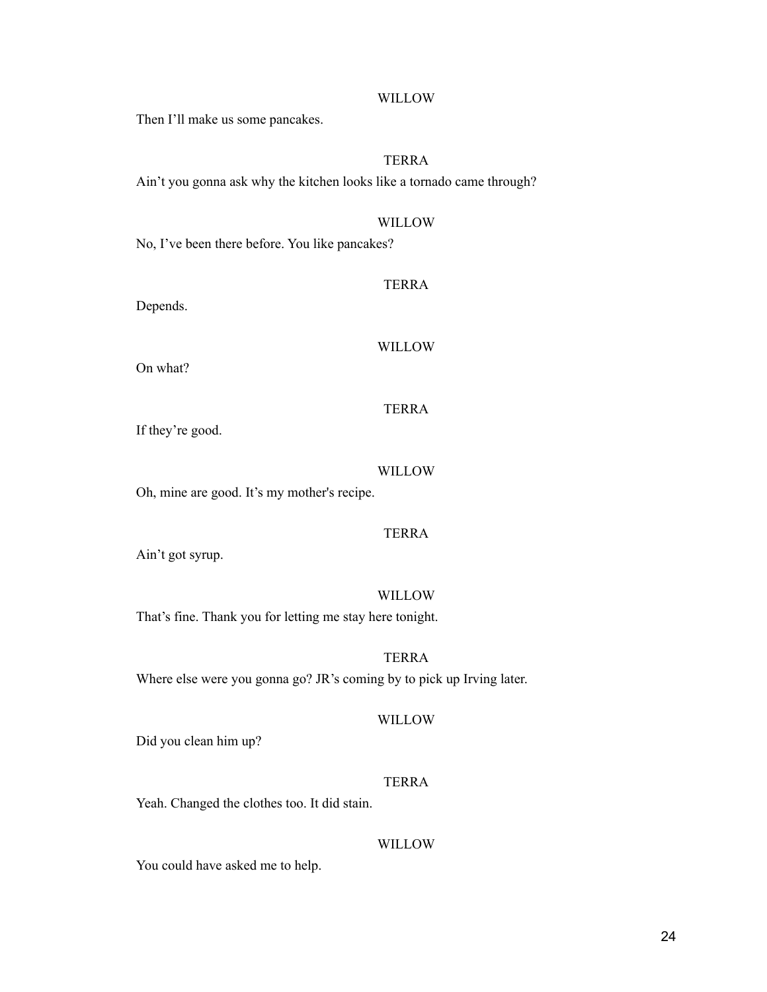#### WILLOW

Then I'll make us some pancakes.

#### TERRA

Ain't you gonna ask why the kitchen looks like a tornado came through?

#### WILLOW

No, I've been there before. You like pancakes?

#### TERRA

Depends.

#### WILLOW

On what?

#### TERRA

If they're good.

#### WILLOW

Oh, mine are good. It's my mother's recipe.

#### TERRA

Ain't got syrup.

#### WILLOW

TERRA

That's fine. Thank you for letting me stay here tonight.

Where else were you gonna go? JR's coming by to pick up Irving later.

#### WILLOW

Did you clean him up?

#### TERRA

Yeah. Changed the clothes too. It did stain.

#### WILLOW

You could have asked me to help.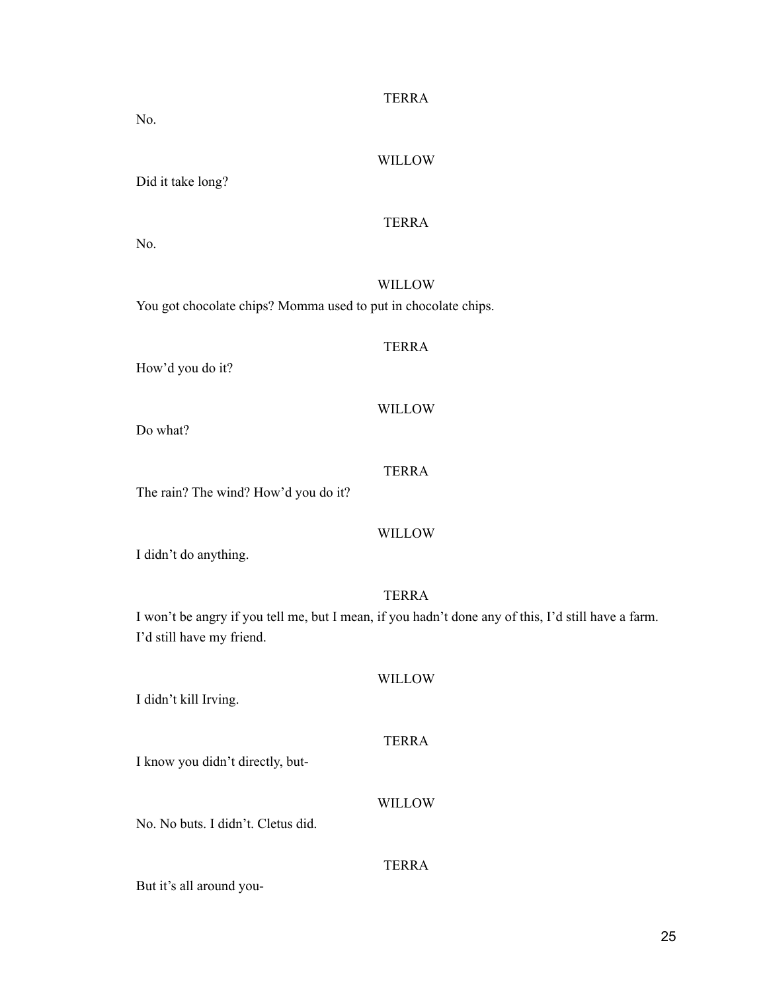| WILLOW                                                                                              |
|-----------------------------------------------------------------------------------------------------|
| Did it take long?                                                                                   |
| <b>TERRA</b><br>No.                                                                                 |
|                                                                                                     |
| <b>WILLOW</b>                                                                                       |
| You got chocolate chips? Momma used to put in chocolate chips.                                      |
| <b>TERRA</b>                                                                                        |
| How'd you do it?                                                                                    |
|                                                                                                     |
| <b>WILLOW</b>                                                                                       |
| Do what?                                                                                            |
| <b>TERRA</b>                                                                                        |
| The rain? The wind? How'd you do it?                                                                |
|                                                                                                     |
| <b>WILLOW</b><br>I didn't do anything.                                                              |
|                                                                                                     |
| <b>TERRA</b>                                                                                        |
| I won't be angry if you tell me, but I mean, if you hadn't done any of this, I'd still have a farm. |
| I'd still have my friend.                                                                           |
| <b>WILLOW</b>                                                                                       |
| I didn't kill Irving.                                                                               |
|                                                                                                     |
| <b>TERRA</b>                                                                                        |

I know you didn't directly, but-

No. No buts. I didn't. Cletus did.

#### TERRA

WILLOW

But it's all around you-

No.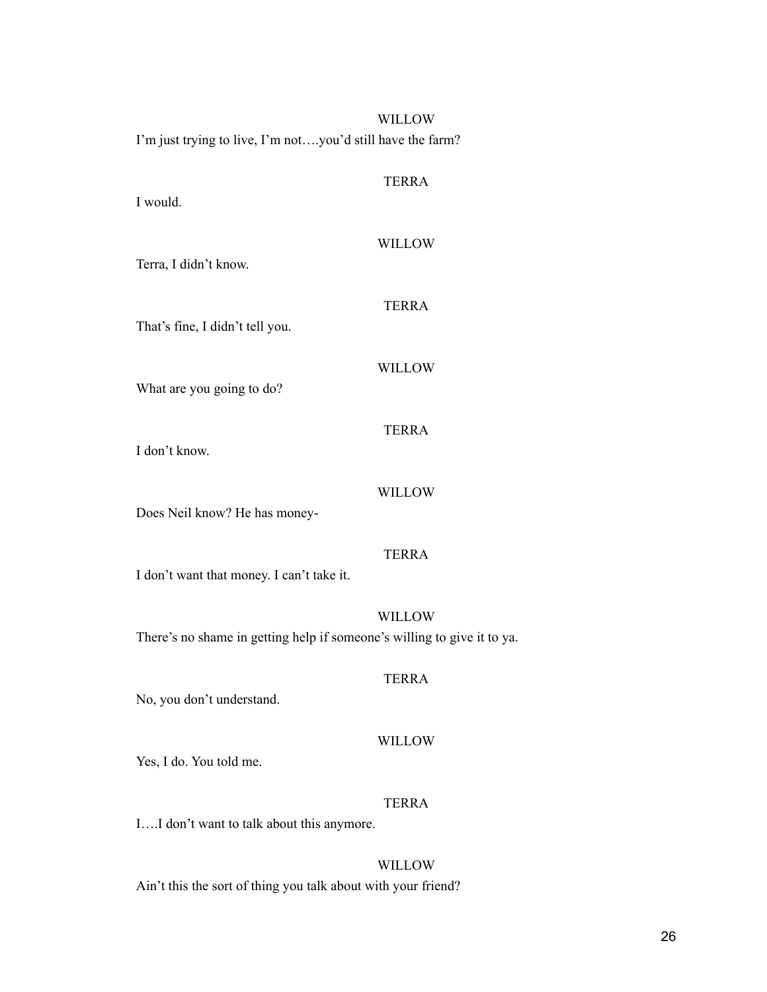| WILLOW                                                                                   |  |
|------------------------------------------------------------------------------------------|--|
| I'm just trying to live, I'm notyou'd still have the farm?                               |  |
| <b>TERRA</b><br>I would.                                                                 |  |
| <b>WILLOW</b><br>Terra, I didn't know.                                                   |  |
| <b>TERRA</b><br>That's fine, I didn't tell you.                                          |  |
| <b>WILLOW</b><br>What are you going to do?                                               |  |
| <b>TERRA</b><br>I don't know.                                                            |  |
| <b>WILLOW</b><br>Does Neil know? He has money-                                           |  |
| <b>TERRA</b><br>I don't want that money. I can't take it.                                |  |
| <b>WILLOW</b><br>There's no shame in getting help if someone's willing to give it to ya. |  |
| <b>TERRA</b><br>No, you don't understand.                                                |  |
| WILLOW<br>Yes, I do. You told me.                                                        |  |
| <b>TERRA</b><br>II don't want to talk about this anymore.                                |  |
| WILLOW                                                                                   |  |

Ain't this the sort of thing you talk about with your friend?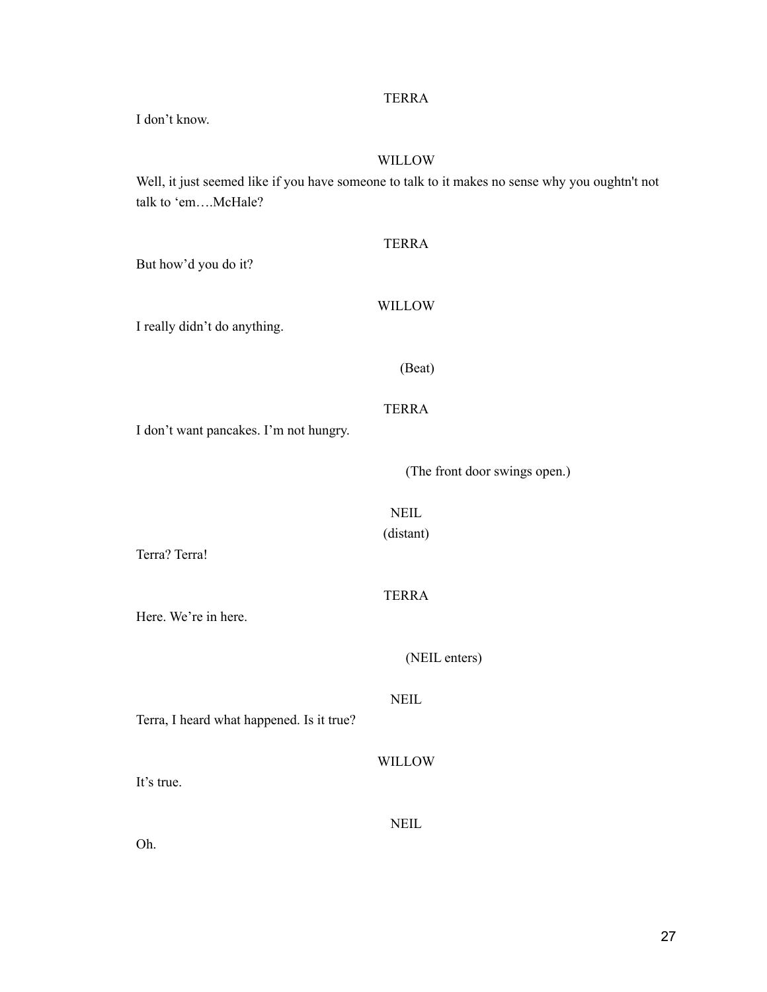I don't know.

#### WILLOW

Well, it just seemed like if you have someone to talk to it makes no sense why you oughtn't not talk to 'em….McHale?

| <b>TERRA</b>                  |
|-------------------------------|
| WILLOW                        |
| (Beat)                        |
| <b>TERRA</b>                  |
| (The front door swings open.) |
| <b>NEIL</b><br>(distant)      |
|                               |
| <b>TERRA</b>                  |
| (NEIL enters)                 |
| <b>NEIL</b>                   |
| WILLOW                        |
| <b>NEIL</b>                   |
|                               |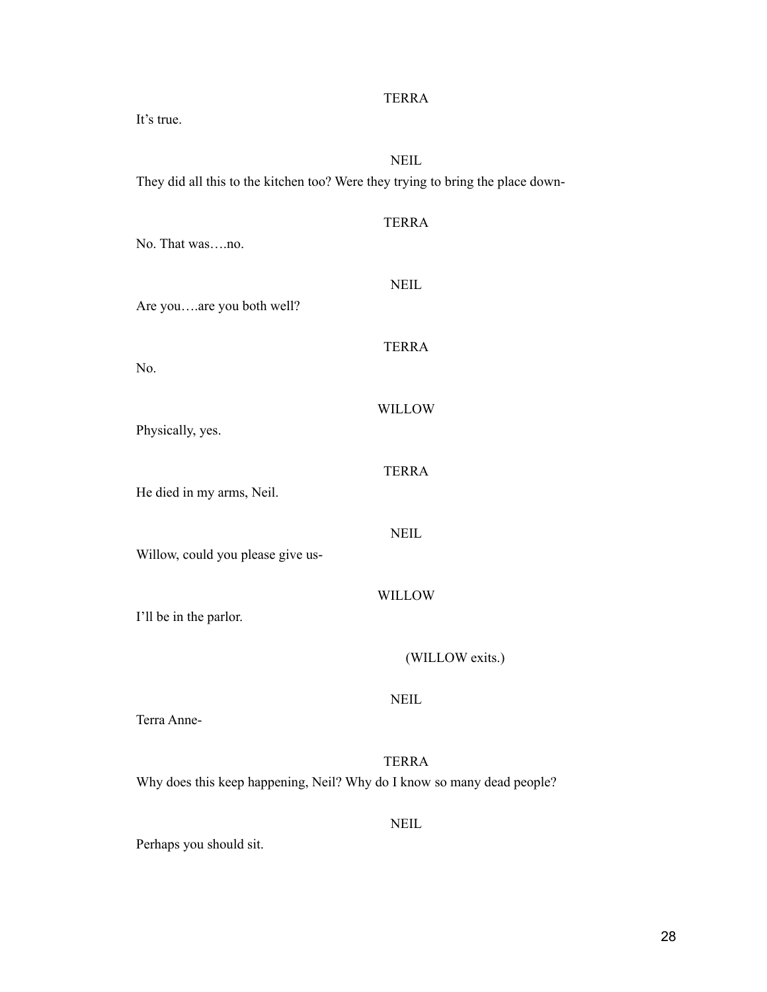| It's true.                                                                                     |  |  |
|------------------------------------------------------------------------------------------------|--|--|
| <b>NEIL</b><br>They did all this to the kitchen too? Were they trying to bring the place down- |  |  |
| <b>TERRA</b><br>No. That wasno.                                                                |  |  |
| <b>NEIL</b><br>Are youare you both well?                                                       |  |  |
| <b>TERRA</b><br>No.                                                                            |  |  |
| <b>WILLOW</b><br>Physically, yes.                                                              |  |  |
| <b>TERRA</b><br>He died in my arms, Neil.                                                      |  |  |
| <b>NEIL</b><br>Willow, could you please give us-                                               |  |  |
| <b>WILLOW</b><br>I'll be in the parlor.                                                        |  |  |
| (WILLOW exits.)                                                                                |  |  |
| <b>NEIL</b><br>Terra Anne-                                                                     |  |  |
| <b>TERRA</b><br>Why does this keep happening, Neil? Why do I know so many dead people?         |  |  |
| <b>NEIL</b><br>Perhaps you should sit.                                                         |  |  |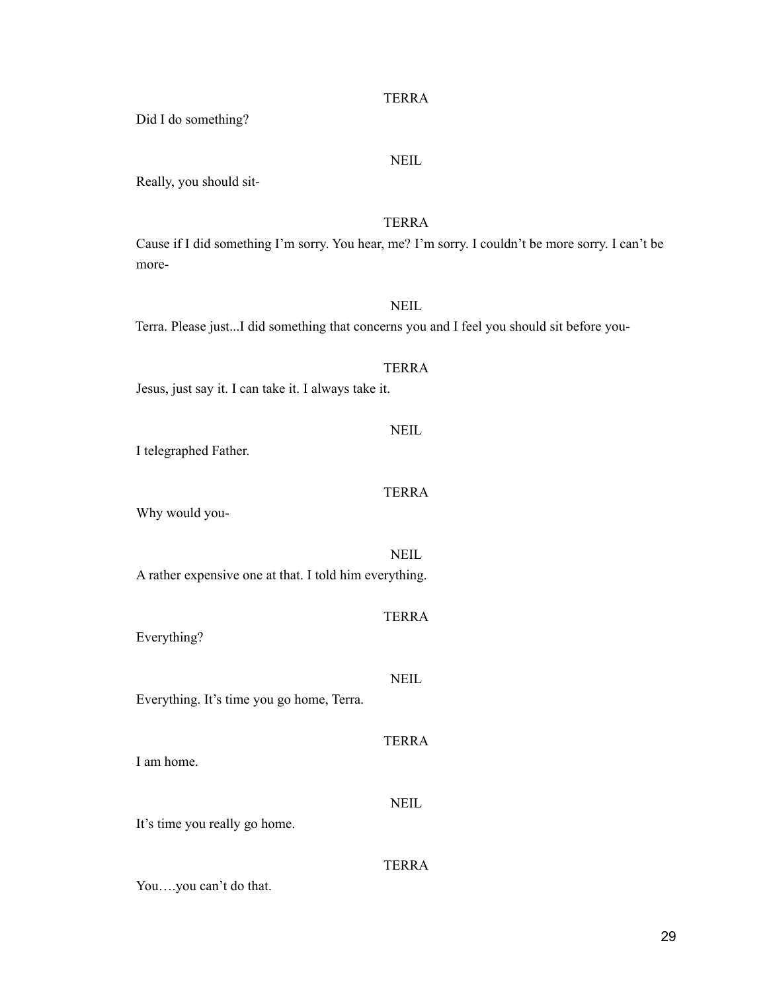# TERRA Cause if I did something I'm sorry. You hear, me? I'm sorry. I couldn't be more sorry. I can't be **NEIL** Terra. Please just...I did something that concerns you and I feel you should sit before you-

Jesus, just say it. I can take it. I always take it.

I telegraphed Father.

Did I do something?

Really, you should sit-

more-

## Why would you-

**NEIL** 

A rather expensive one at that. I told him everything.

Everything?

Everything. It's time you go home, Terra.

I am home.

It's time you really go home.

You….you can't do that.

TERRA

#### **NEIL**

#### TERRA

**NEIL** 

TERRA

**NEIL** 

**TERRA** 

NEIL

TERRA

TERRA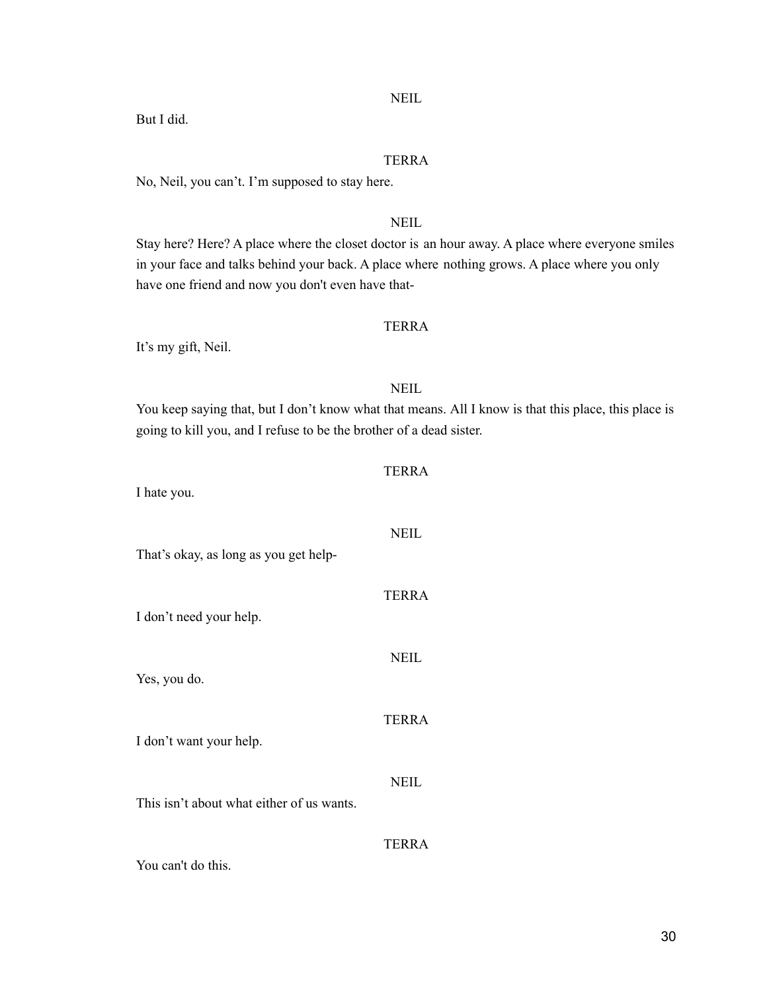#### NEIL

But I did.

#### TERRA

No, Neil, you can't. I'm supposed to stay here.

#### **NEIL**

Stay here? Here? A place where the closet doctor is an hour away. A place where everyone smiles in your face and talks behind your back. A place where nothing grows. A place where you only have one friend and now you don't even have that-

#### TERRA

It's my gift, Neil.

#### NEIL

You keep saying that, but I don't know what that means. All I know is that this place, this place is going to kill you, and I refuse to be the brother of a dead sister.

TERRA

| I hate you.                               |              |
|-------------------------------------------|--------------|
| That's okay, as long as you get help-     | <b>NEIL</b>  |
| I don't need your help.                   | <b>TERRA</b> |
| Yes, you do.                              | <b>NEIL</b>  |
|                                           | <b>TERRA</b> |
| I don't want your help.                   | NEIL         |
| This isn't about what either of us wants. | <b>TERRA</b> |
| You can't do this.                        |              |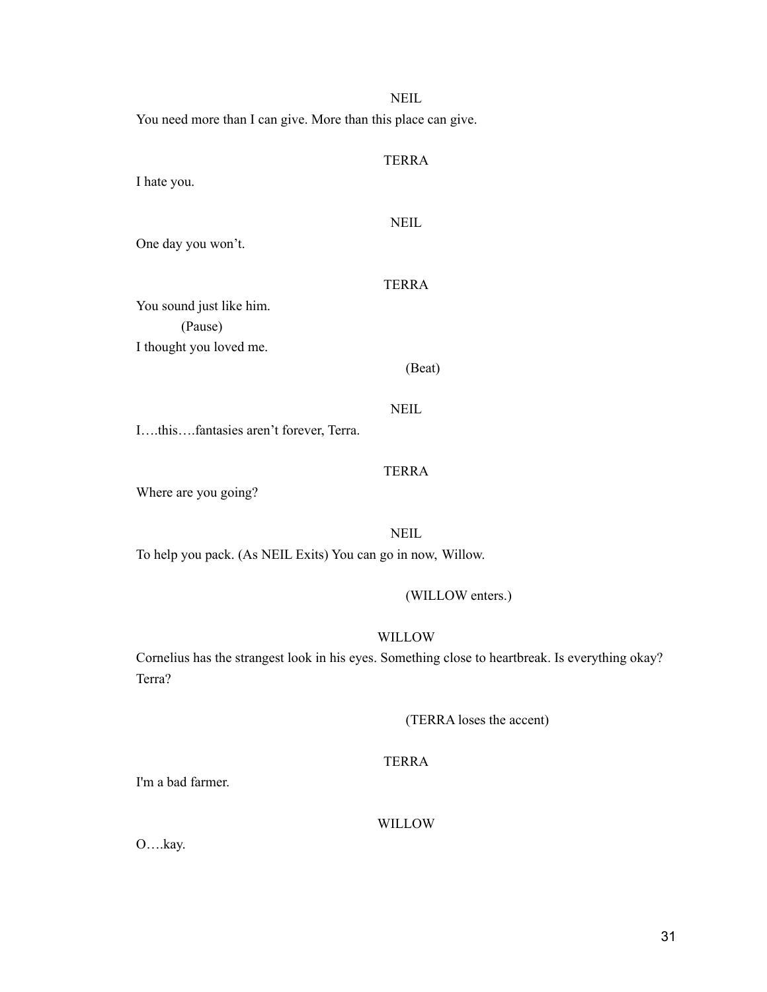You need more than I can give. More than this place can give.

## TERRA

NEIL

I hate you.

#### **NEIL**

One day you won't.

#### TERRA

You sound just like him. (Pause) I thought you loved me.

(Beat)

**NEIL** 

I….this….fantasies aren't forever, Terra.

#### TERRA

Where are you going?

**NEIL** 

To help you pack. (As NEIL Exits) You can go in now, Willow.

(WILLOW enters.)

#### WILLOW

Cornelius has the strangest look in his eyes. Something close to heartbreak. Is everything okay? Terra?

(TERRA loses the accent)

#### TERRA

I'm a bad farmer.

#### WILLOW

O….kay.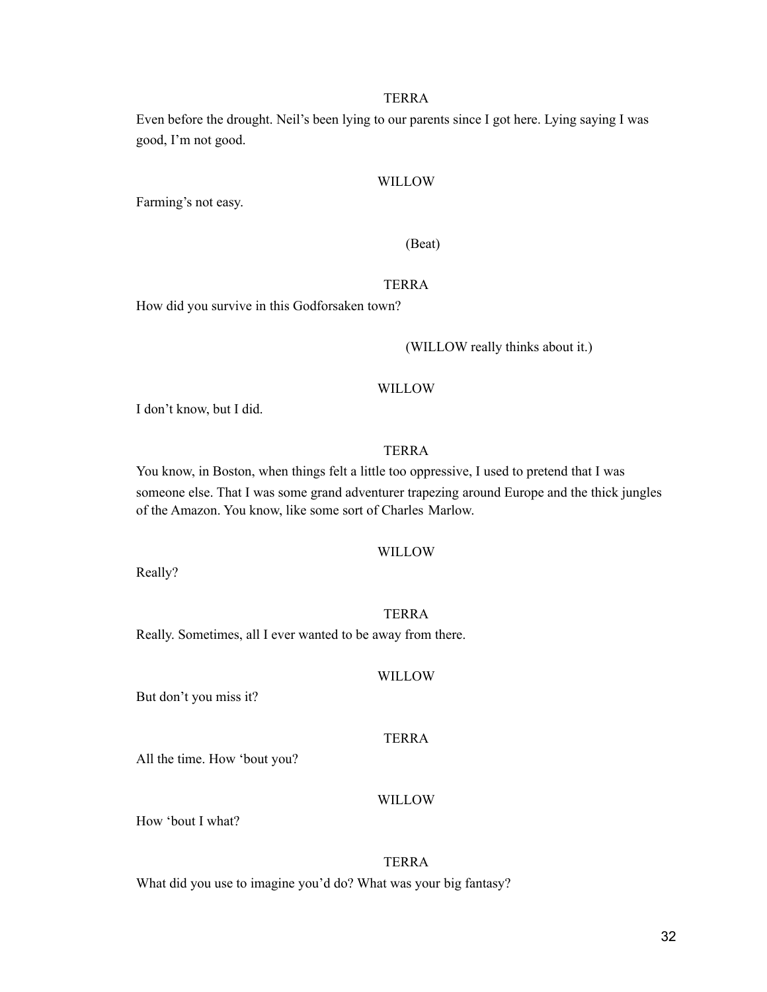Even before the drought. Neil's been lying to our parents since I got here. Lying saying I was good, I'm not good.

#### WILLOW

Farming's not easy.

#### (Beat)

#### TERRA

How did you survive in this Godforsaken town?

(WILLOW really thinks about it.)

#### WILLOW

I don't know, but I did.

#### TERRA

You know, in Boston, when things felt a little too oppressive, I used to pretend that I was someone else. That I was some grand adventurer trapezing around Europe and the thick jungles of the Amazon. You know, like some sort of Charles Marlow.

#### WILLOW

Really?

#### TERRA

Really. Sometimes, all I ever wanted to be away from there.

#### WILLOW

But don't you miss it?

#### TERRA

All the time. How 'bout you?

#### WILLOW

How 'bout I what?

#### TERRA

What did you use to imagine you'd do? What was your big fantasy?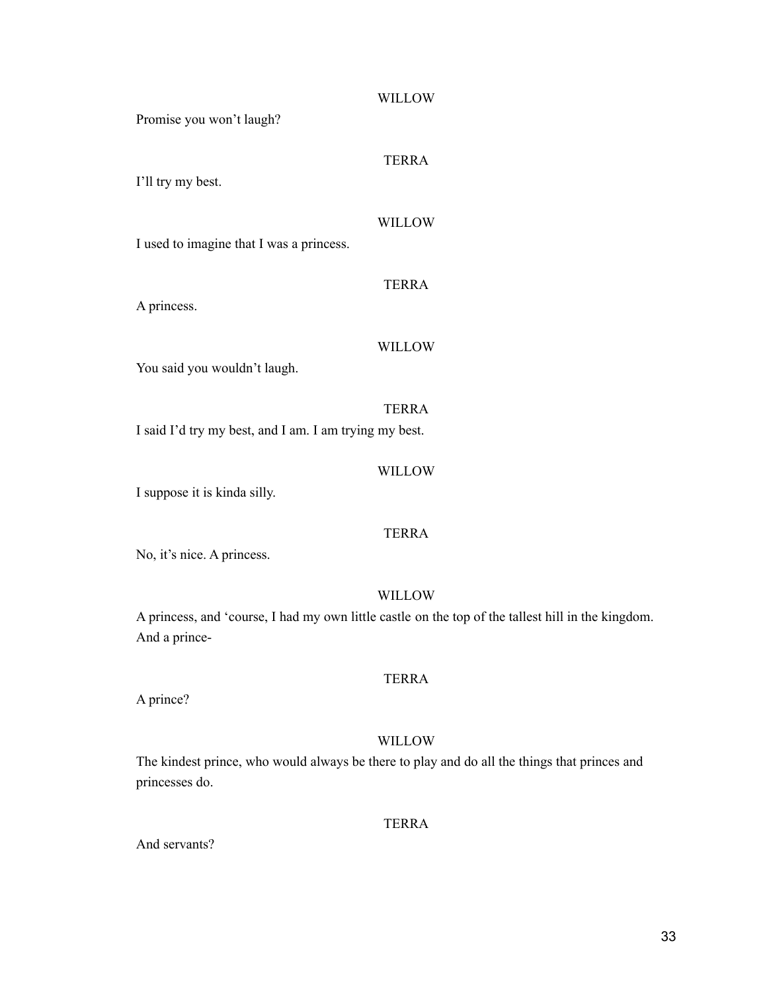| Promise you won't laugh?                               | <b>WILLOW</b> |
|--------------------------------------------------------|---------------|
| I'll try my best.                                      | <b>TERRA</b>  |
| I used to imagine that I was a princess.               | <b>WILLOW</b> |
|                                                        | <b>TERRA</b>  |
| A princess.                                            | <b>WILLOW</b> |
| You said you wouldn't laugh.                           |               |
| I said I'd try my best, and I am. I am trying my best. | <b>TERRA</b>  |
| I suppose it is kinda silly.                           | WILLOW        |

No, it's nice. A princess.

#### WILLOW

A princess, and 'course, I had my own little castle on the top of the tallest hill in the kingdom. And a prince-

#### TERRA

A prince?

#### WILLOW

The kindest prince, who would always be there to play and do all the things that princes and princesses do.

#### TERRA

And servants?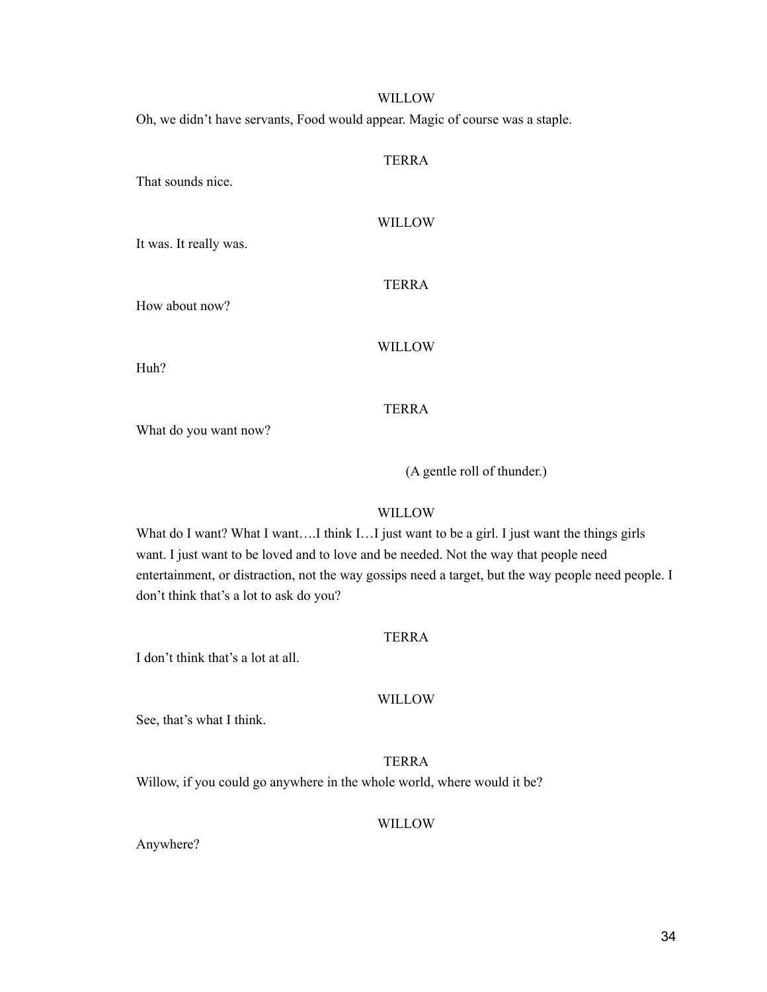#### WILLOW

Oh, we didn't have servants, Food would appear. Magic of course was a staple.

#### TERRA

That sounds nice.

#### WILLOW

It was. It really was.

#### TERRA

How about now?

#### WILLOW

Huh?

#### TERRA

What do you want now?

(A gentle roll of thunder.)

#### WILLOW

What do I want? What I want....I think I...I just want to be a girl. I just want the things girls want. I just want to be loved and to love and be needed. Not the way that people need entertainment, or distraction, not the way gossips need a target, but the way people need people. I don't think that's a lot to ask do you?

#### TERRA

I don't think that's a lot at all.

#### WILLOW

See, that's what I think.

#### TERRA

Willow, if you could go anywhere in the whole world, where would it be?

#### WILLOW

Anywhere?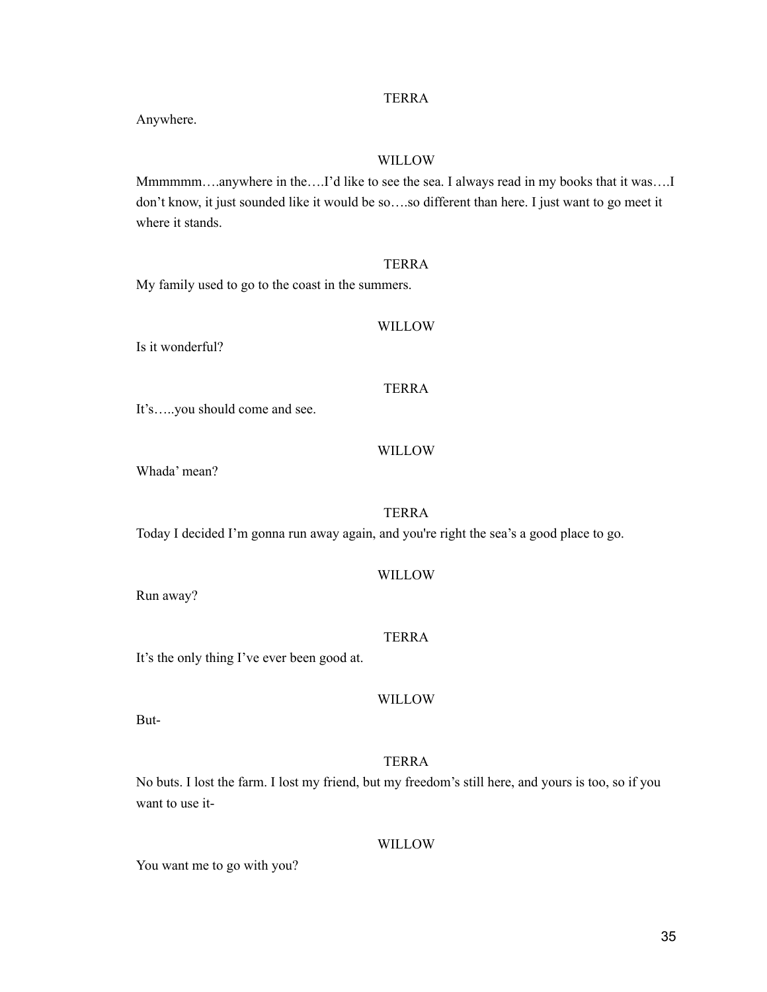35

#### TERRA

Anywhere.

#### WILLOW

Mmmmmm….anywhere in the….I'd like to see the sea. I always read in my books that it was….I don't know, it just sounded like it would be so….so different than here. I just want to go meet it where it stands.

#### TERRA

My family used to go to the coast in the summers.

#### WILLOW

Is it wonderful?

TERRA

It's…..you should come and see.

#### WILLOW

Whada' mean?

#### TERRA

Today I decided I'm gonna run away again, and you're right the sea's a good place to go.

#### WILLOW

Run away?

#### TERRA

It's the only thing I've ever been good at.

WILLOW

But-

#### TERRA

No buts. I lost the farm. I lost my friend, but my freedom's still here, and yours is too, so if you want to use it-

WILLOW

You want me to go with you?